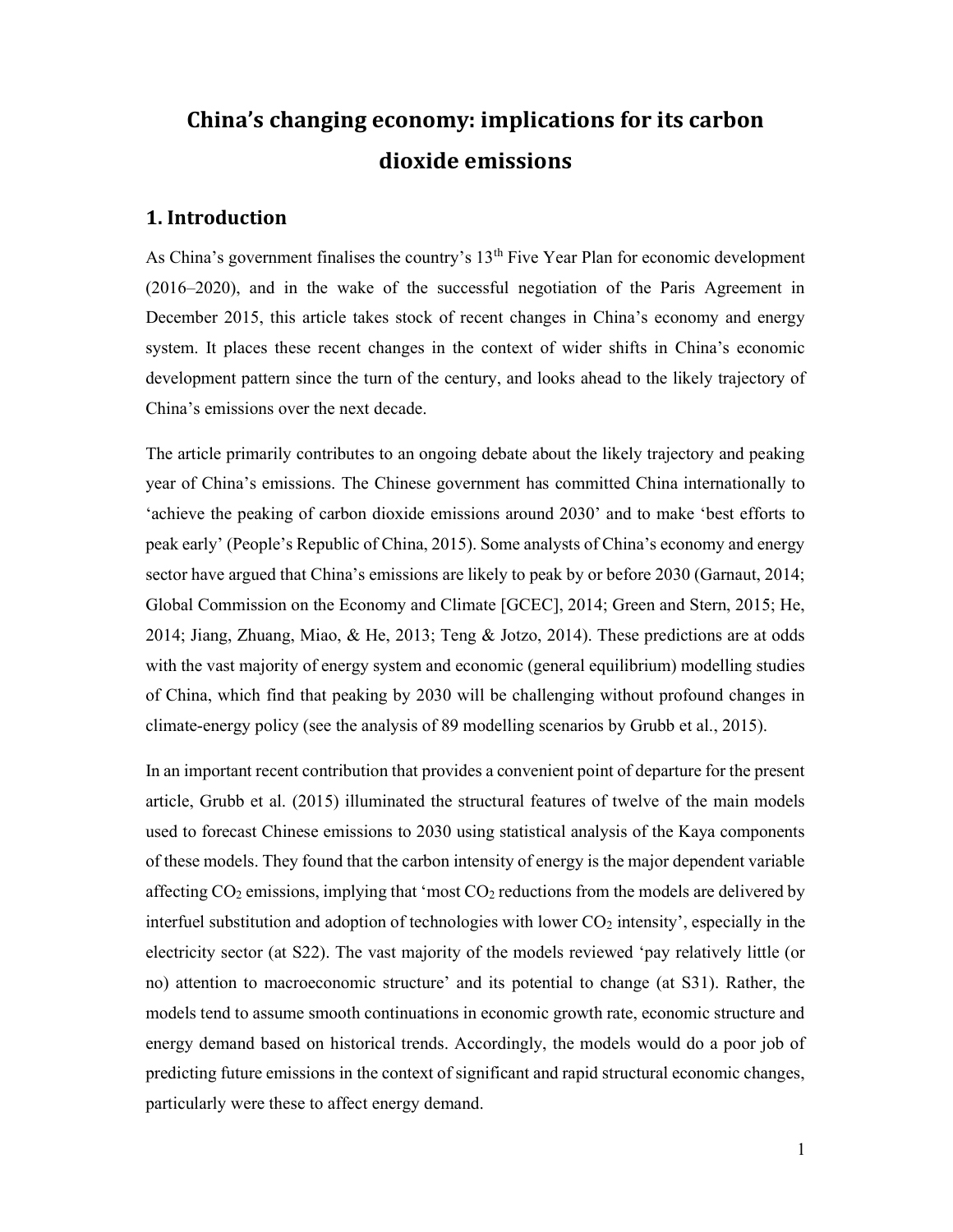# China's changing economy: implications for its carbon dioxide emissions

# 1. Introduction

As China's government finalises the country's  $13<sup>th</sup>$  Five Year Plan for economic development (2016–2020), and in the wake of the successful negotiation of the Paris Agreement in December 2015, this article takes stock of recent changes in China's economy and energy system. It places these recent changes in the context of wider shifts in China's economic development pattern since the turn of the century, and looks ahead to the likely trajectory of China's emissions over the next decade.

The article primarily contributes to an ongoing debate about the likely trajectory and peaking year of China's emissions. The Chinese government has committed China internationally to 'achieve the peaking of carbon dioxide emissions around 2030' and to make 'best efforts to peak early' (People's Republic of China, 2015). Some analysts of China's economy and energy sector have argued that China's emissions are likely to peak by or before 2030 (Garnaut, 2014; Global Commission on the Economy and Climate [GCEC], 2014; Green and Stern, 2015; He, 2014; Jiang, Zhuang, Miao, & He, 2013; Teng & Jotzo, 2014). These predictions are at odds with the vast majority of energy system and economic (general equilibrium) modelling studies of China, which find that peaking by 2030 will be challenging without profound changes in climate-energy policy (see the analysis of 89 modelling scenarios by Grubb et al., 2015).

In an important recent contribution that provides a convenient point of departure for the present article, Grubb et al. (2015) illuminated the structural features of twelve of the main models used to forecast Chinese emissions to 2030 using statistical analysis of the Kaya components of these models. They found that the carbon intensity of energy is the major dependent variable affecting  $CO<sub>2</sub>$  emissions, implying that 'most  $CO<sub>2</sub>$  reductions from the models are delivered by interfuel substitution and adoption of technologies with lower  $CO<sub>2</sub>$  intensity', especially in the electricity sector (at S22). The vast majority of the models reviewed 'pay relatively little (or no) attention to macroeconomic structure' and its potential to change (at S31). Rather, the models tend to assume smooth continuations in economic growth rate, economic structure and energy demand based on historical trends. Accordingly, the models would do a poor job of predicting future emissions in the context of significant and rapid structural economic changes, particularly were these to affect energy demand.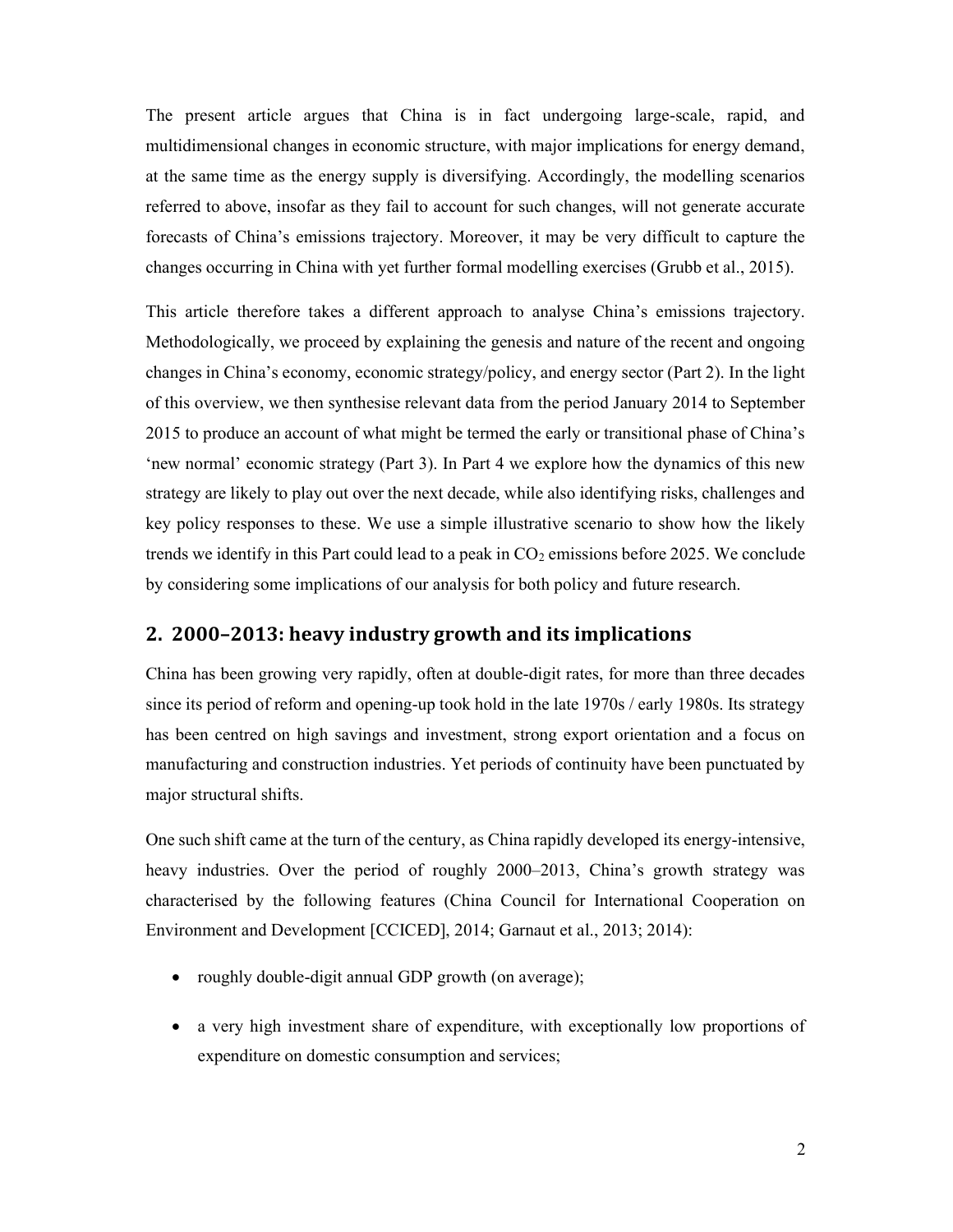The present article argues that China is in fact undergoing large-scale, rapid, and multidimensional changes in economic structure, with major implications for energy demand, at the same time as the energy supply is diversifying. Accordingly, the modelling scenarios referred to above, insofar as they fail to account for such changes, will not generate accurate forecasts of China's emissions trajectory. Moreover, it may be very difficult to capture the changes occurring in China with yet further formal modelling exercises (Grubb et al., 2015).

This article therefore takes a different approach to analyse China's emissions trajectory. Methodologically, we proceed by explaining the genesis and nature of the recent and ongoing changes in China's economy, economic strategy/policy, and energy sector (Part 2). In the light of this overview, we then synthesise relevant data from the period January 2014 to September 2015 to produce an account of what might be termed the early or transitional phase of China's 'new normal' economic strategy (Part 3). In Part 4 we explore how the dynamics of this new strategy are likely to play out over the next decade, while also identifying risks, challenges and key policy responses to these. We use a simple illustrative scenario to show how the likely trends we identify in this Part could lead to a peak in  $CO<sub>2</sub>$  emissions before 2025. We conclude by considering some implications of our analysis for both policy and future research.

### 2. 2000–2013: heavy industry growth and its implications

China has been growing very rapidly, often at double-digit rates, for more than three decades since its period of reform and opening-up took hold in the late 1970s / early 1980s. Its strategy has been centred on high savings and investment, strong export orientation and a focus on manufacturing and construction industries. Yet periods of continuity have been punctuated by major structural shifts.

One such shift came at the turn of the century, as China rapidly developed its energy-intensive, heavy industries. Over the period of roughly 2000–2013, China's growth strategy was characterised by the following features (China Council for International Cooperation on Environment and Development [CCICED], 2014; Garnaut et al., 2013; 2014):

- roughly double-digit annual GDP growth (on average);
- a very high investment share of expenditure, with exceptionally low proportions of expenditure on domestic consumption and services;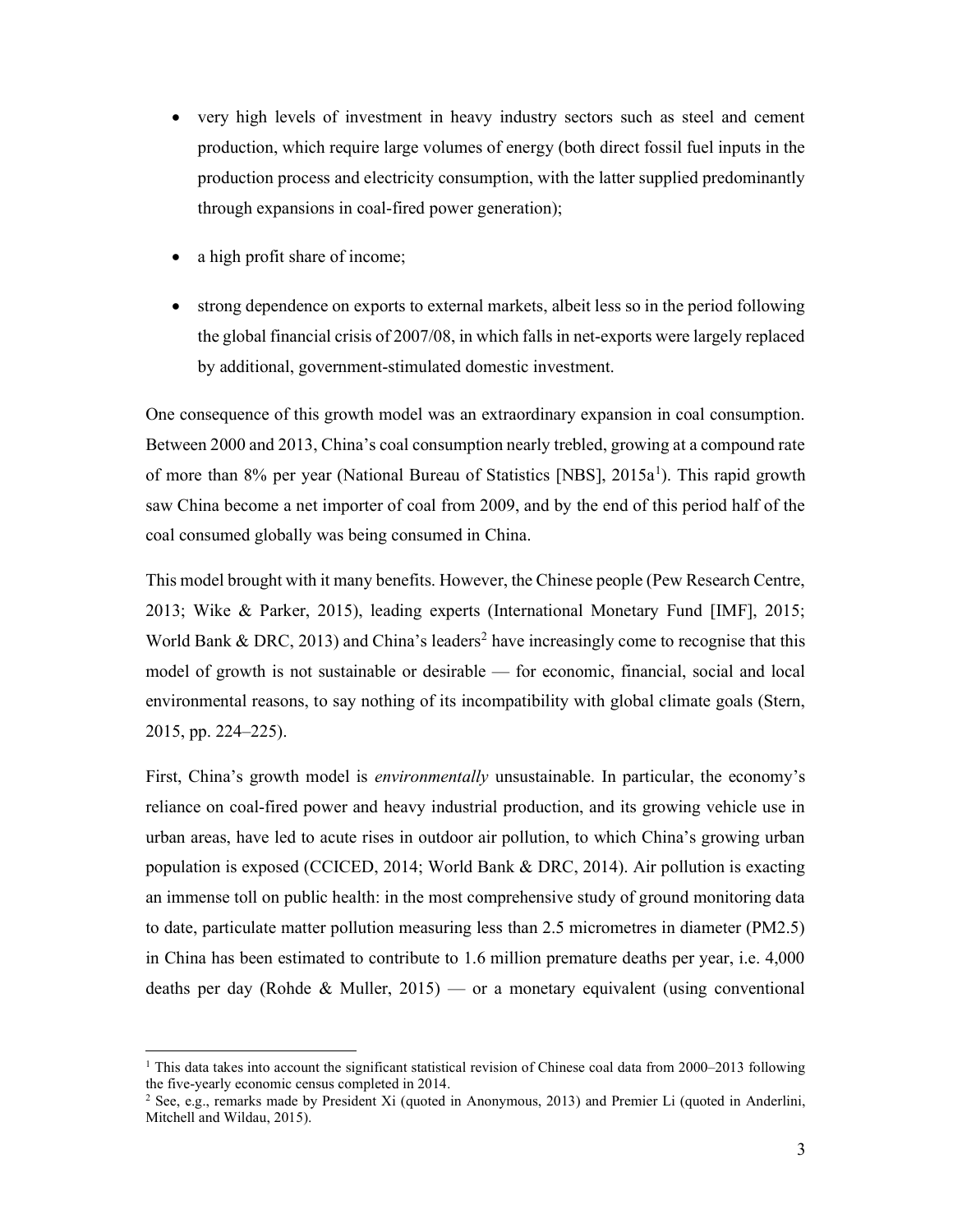- very high levels of investment in heavy industry sectors such as steel and cement production, which require large volumes of energy (both direct fossil fuel inputs in the production process and electricity consumption, with the latter supplied predominantly through expansions in coal-fired power generation);
- a high profit share of income;
- strong dependence on exports to external markets, albeit less so in the period following the global financial crisis of 2007/08, in which falls in net-exports were largely replaced by additional, government-stimulated domestic investment.

One consequence of this growth model was an extraordinary expansion in coal consumption. Between 2000 and 2013, China's coal consumption nearly trebled, growing at a compound rate of more than 8% per year (National Bureau of Statistics [NBS], 2015a<sup>1</sup>). This rapid growth saw China become a net importer of coal from 2009, and by the end of this period half of the coal consumed globally was being consumed in China.

This model brought with it many benefits. However, the Chinese people (Pew Research Centre, 2013; Wike & Parker, 2015), leading experts (International Monetary Fund [IMF], 2015; World Bank & DRC, 2013) and China's leaders<sup>2</sup> have increasingly come to recognise that this model of growth is not sustainable or desirable — for economic, financial, social and local environmental reasons, to say nothing of its incompatibility with global climate goals (Stern, 2015, pp. 224–225).

First, China's growth model is *environmentally* unsustainable. In particular, the economy's reliance on coal-fired power and heavy industrial production, and its growing vehicle use in urban areas, have led to acute rises in outdoor air pollution, to which China's growing urban population is exposed (CCICED, 2014; World Bank & DRC, 2014). Air pollution is exacting an immense toll on public health: in the most comprehensive study of ground monitoring data to date, particulate matter pollution measuring less than 2.5 micrometres in diameter (PM2.5) in China has been estimated to contribute to 1.6 million premature deaths per year, i.e. 4,000 deaths per day (Rohde & Muller, 2015) — or a monetary equivalent (using conventional

<sup>&</sup>lt;sup>1</sup> This data takes into account the significant statistical revision of Chinese coal data from 2000–2013 following the five-yearly economic census completed in 2014.

<sup>&</sup>lt;sup>2</sup> See, e.g., remarks made by President Xi (quoted in Anonymous, 2013) and Premier Li (quoted in Anderlini, Mitchell and Wildau, 2015).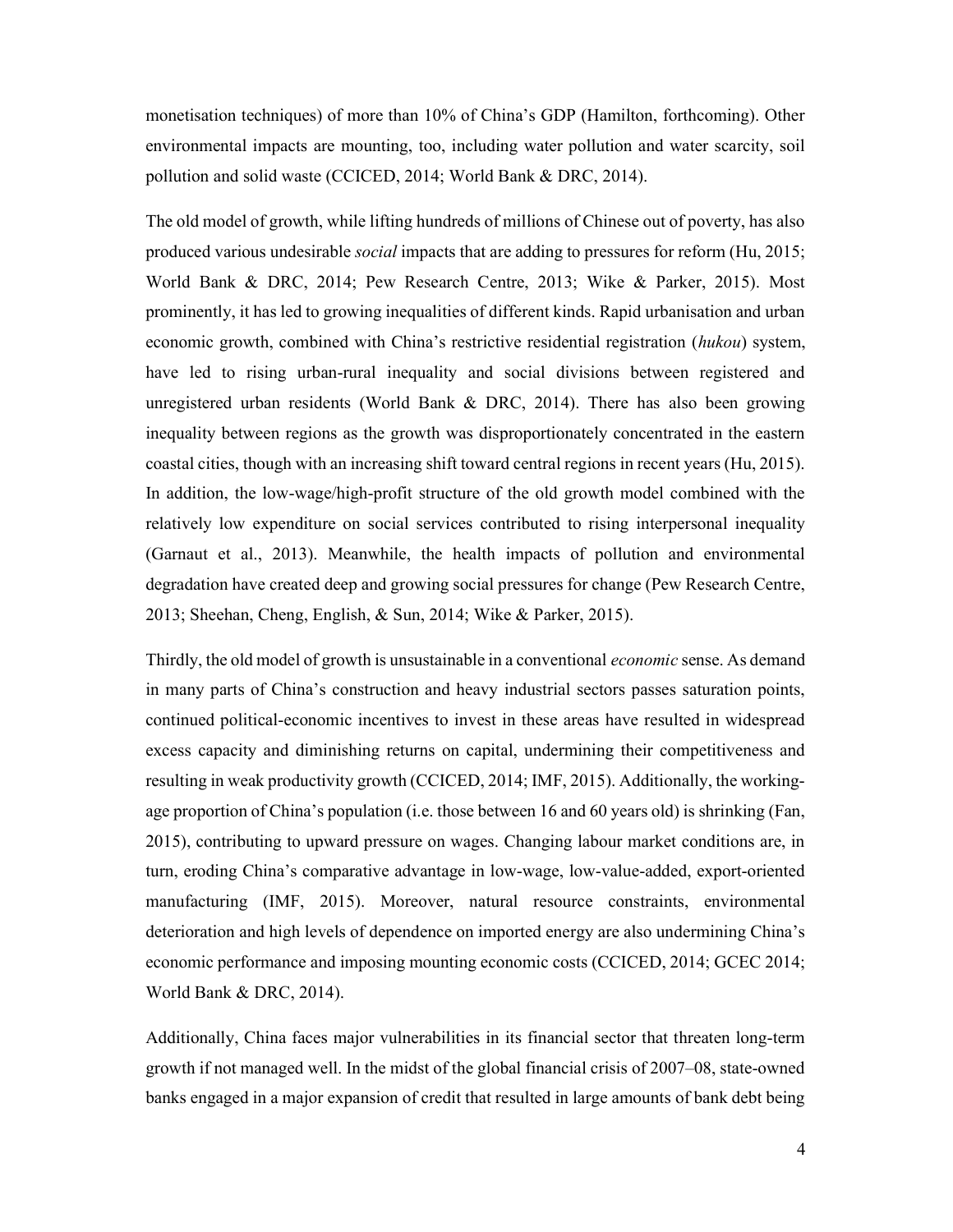monetisation techniques) of more than 10% of China's GDP (Hamilton, forthcoming). Other environmental impacts are mounting, too, including water pollution and water scarcity, soil pollution and solid waste (CCICED, 2014; World Bank & DRC, 2014).

The old model of growth, while lifting hundreds of millions of Chinese out of poverty, has also produced various undesirable social impacts that are adding to pressures for reform (Hu, 2015; World Bank & DRC, 2014; Pew Research Centre, 2013; Wike & Parker, 2015). Most prominently, it has led to growing inequalities of different kinds. Rapid urbanisation and urban economic growth, combined with China's restrictive residential registration (hukou) system, have led to rising urban-rural inequality and social divisions between registered and unregistered urban residents (World Bank  $& DRC$ , 2014). There has also been growing inequality between regions as the growth was disproportionately concentrated in the eastern coastal cities, though with an increasing shift toward central regions in recent years (Hu, 2015). In addition, the low-wage/high-profit structure of the old growth model combined with the relatively low expenditure on social services contributed to rising interpersonal inequality (Garnaut et al., 2013). Meanwhile, the health impacts of pollution and environmental degradation have created deep and growing social pressures for change (Pew Research Centre, 2013; Sheehan, Cheng, English, & Sun, 2014; Wike & Parker, 2015).

Thirdly, the old model of growth is unsustainable in a conventional *economic* sense. As demand in many parts of China's construction and heavy industrial sectors passes saturation points, continued political-economic incentives to invest in these areas have resulted in widespread excess capacity and diminishing returns on capital, undermining their competitiveness and resulting in weak productivity growth (CCICED, 2014; IMF, 2015). Additionally, the workingage proportion of China's population (i.e. those between 16 and 60 years old) is shrinking (Fan, 2015), contributing to upward pressure on wages. Changing labour market conditions are, in turn, eroding China's comparative advantage in low-wage, low-value-added, export-oriented manufacturing (IMF, 2015). Moreover, natural resource constraints, environmental deterioration and high levels of dependence on imported energy are also undermining China's economic performance and imposing mounting economic costs (CCICED, 2014; GCEC 2014; World Bank & DRC, 2014).

Additionally, China faces major vulnerabilities in its financial sector that threaten long-term growth if not managed well. In the midst of the global financial crisis of 2007–08, state-owned banks engaged in a major expansion of credit that resulted in large amounts of bank debt being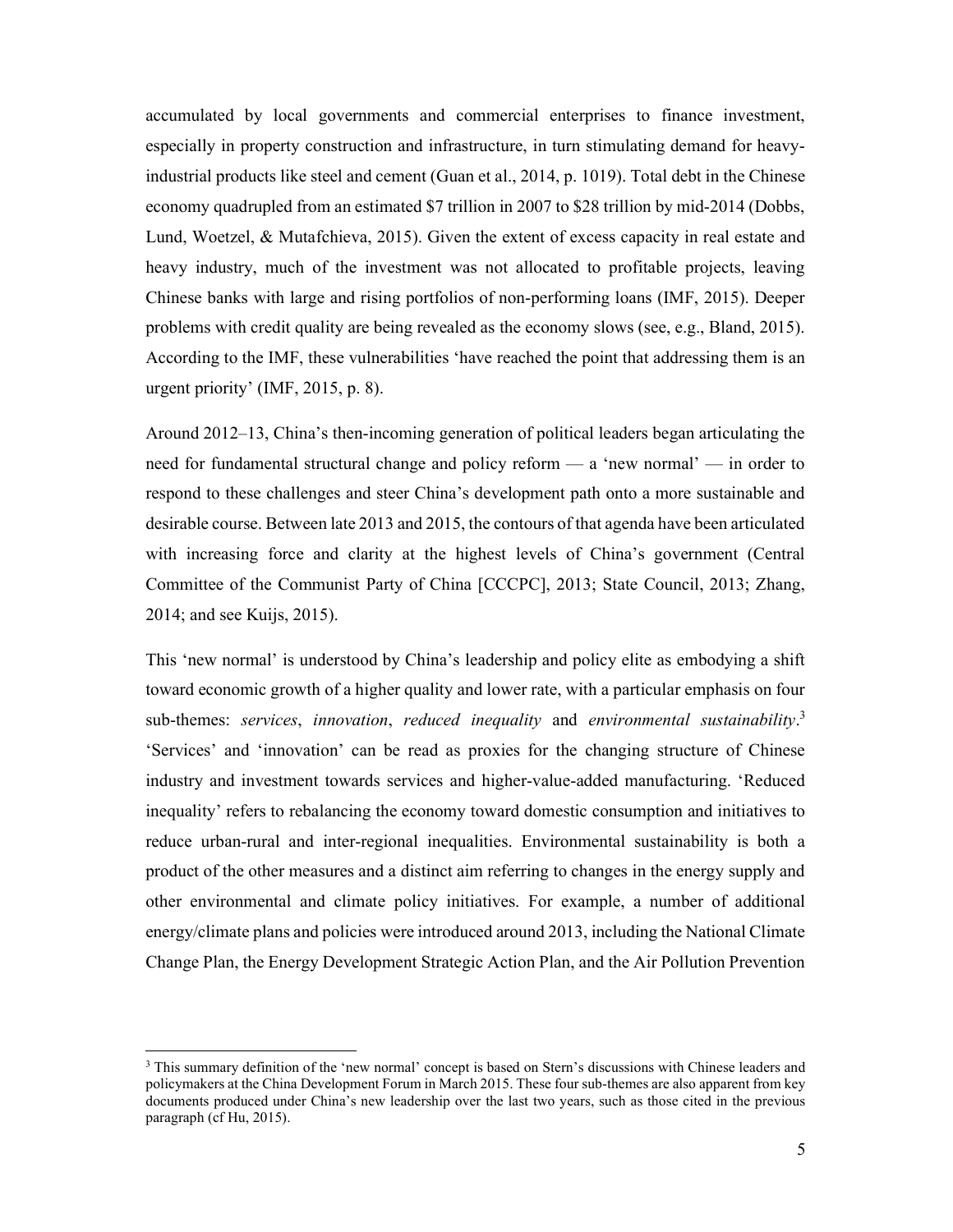accumulated by local governments and commercial enterprises to finance investment, especially in property construction and infrastructure, in turn stimulating demand for heavyindustrial products like steel and cement (Guan et al., 2014, p. 1019). Total debt in the Chinese economy quadrupled from an estimated \$7 trillion in 2007 to \$28 trillion by mid-2014 (Dobbs, Lund, Woetzel, & Mutafchieva, 2015). Given the extent of excess capacity in real estate and heavy industry, much of the investment was not allocated to profitable projects, leaving Chinese banks with large and rising portfolios of non-performing loans (IMF, 2015). Deeper problems with credit quality are being revealed as the economy slows (see, e.g., Bland, 2015). According to the IMF, these vulnerabilities 'have reached the point that addressing them is an urgent priority' (IMF, 2015, p. 8).

Around 2012–13, China's then-incoming generation of political leaders began articulating the need for fundamental structural change and policy reform — a 'new normal' — in order to respond to these challenges and steer China's development path onto a more sustainable and desirable course. Between late 2013 and 2015, the contours of that agenda have been articulated with increasing force and clarity at the highest levels of China's government (Central Committee of the Communist Party of China [CCCPC], 2013; State Council, 2013; Zhang, 2014; and see Kuijs, 2015).

This 'new normal' is understood by China's leadership and policy elite as embodying a shift toward economic growth of a higher quality and lower rate, with a particular emphasis on four sub-themes: services, innovation, reduced inequality and environmental sustainability.<sup>3</sup> 'Services' and 'innovation' can be read as proxies for the changing structure of Chinese industry and investment towards services and higher-value-added manufacturing. 'Reduced inequality' refers to rebalancing the economy toward domestic consumption and initiatives to reduce urban-rural and inter-regional inequalities. Environmental sustainability is both a product of the other measures and a distinct aim referring to changes in the energy supply and other environmental and climate policy initiatives. For example, a number of additional energy/climate plans and policies were introduced around 2013, including the National Climate Change Plan, the Energy Development Strategic Action Plan, and the Air Pollution Prevention

<sup>&</sup>lt;sup>3</sup> This summary definition of the 'new normal' concept is based on Stern's discussions with Chinese leaders and policymakers at the China Development Forum in March 2015. These four sub-themes are also apparent from key documents produced under China's new leadership over the last two years, such as those cited in the previous paragraph (cf Hu, 2015).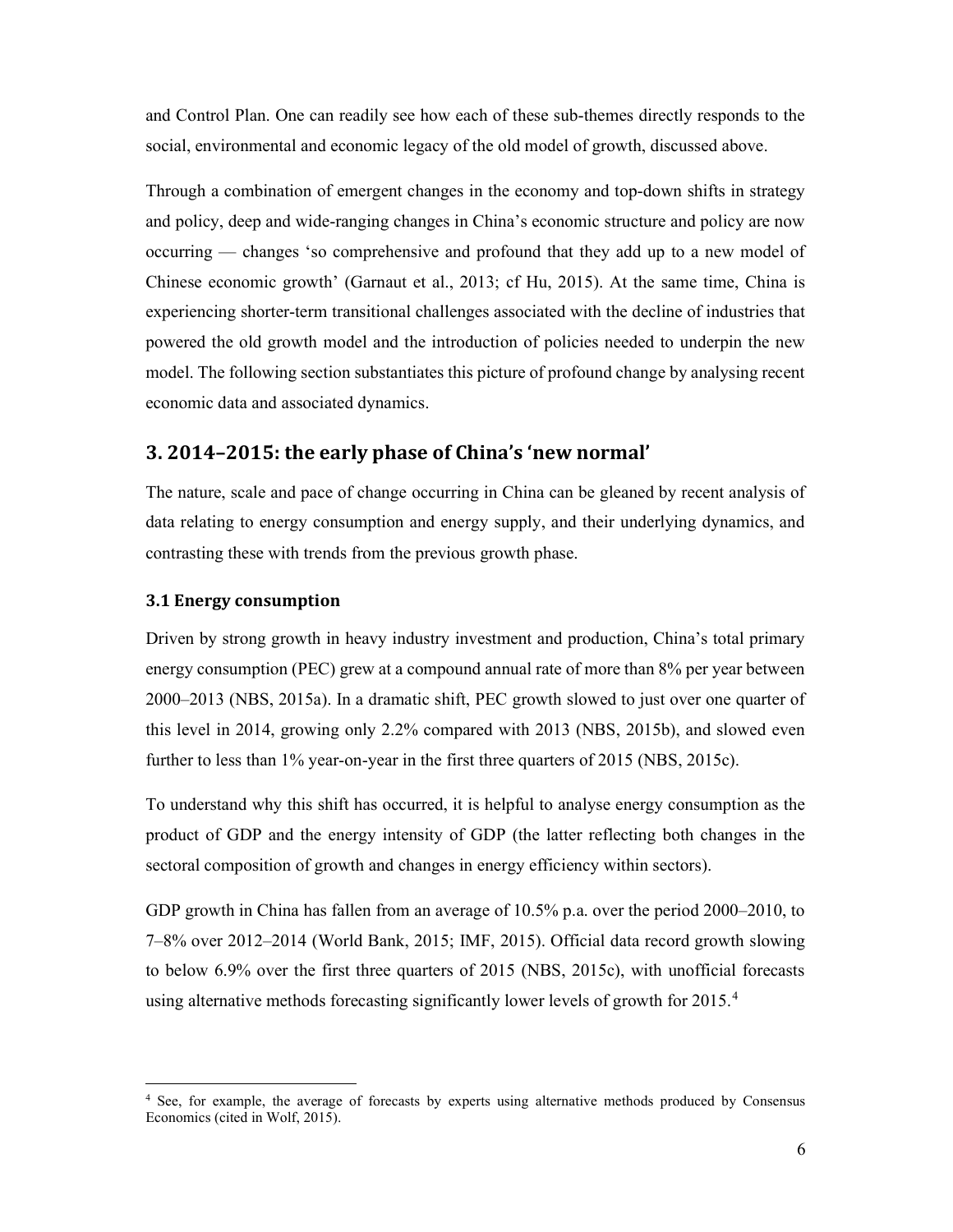and Control Plan. One can readily see how each of these sub-themes directly responds to the social, environmental and economic legacy of the old model of growth, discussed above.

Through a combination of emergent changes in the economy and top-down shifts in strategy and policy, deep and wide-ranging changes in China's economic structure and policy are now occurring — changes 'so comprehensive and profound that they add up to a new model of Chinese economic growth' (Garnaut et al., 2013; cf Hu, 2015). At the same time, China is experiencing shorter-term transitional challenges associated with the decline of industries that powered the old growth model and the introduction of policies needed to underpin the new model. The following section substantiates this picture of profound change by analysing recent economic data and associated dynamics.

# 3. 2014–2015: the early phase of China's 'new normal'

The nature, scale and pace of change occurring in China can be gleaned by recent analysis of data relating to energy consumption and energy supply, and their underlying dynamics, and contrasting these with trends from the previous growth phase.

### 3.1 Energy consumption

Driven by strong growth in heavy industry investment and production, China's total primary energy consumption (PEC) grew at a compound annual rate of more than 8% per year between 2000–2013 (NBS, 2015a). In a dramatic shift, PEC growth slowed to just over one quarter of this level in 2014, growing only 2.2% compared with 2013 (NBS, 2015b), and slowed even further to less than 1% year-on-year in the first three quarters of 2015 (NBS, 2015c).

To understand why this shift has occurred, it is helpful to analyse energy consumption as the product of GDP and the energy intensity of GDP (the latter reflecting both changes in the sectoral composition of growth and changes in energy efficiency within sectors).

GDP growth in China has fallen from an average of 10.5% p.a. over the period 2000–2010, to 7–8% over 2012–2014 (World Bank, 2015; IMF, 2015). Official data record growth slowing to below 6.9% over the first three quarters of 2015 (NBS, 2015c), with unofficial forecasts using alternative methods forecasting significantly lower levels of growth for 2015.<sup>4</sup>

<sup>4</sup> See, for example, the average of forecasts by experts using alternative methods produced by Consensus Economics (cited in Wolf, 2015).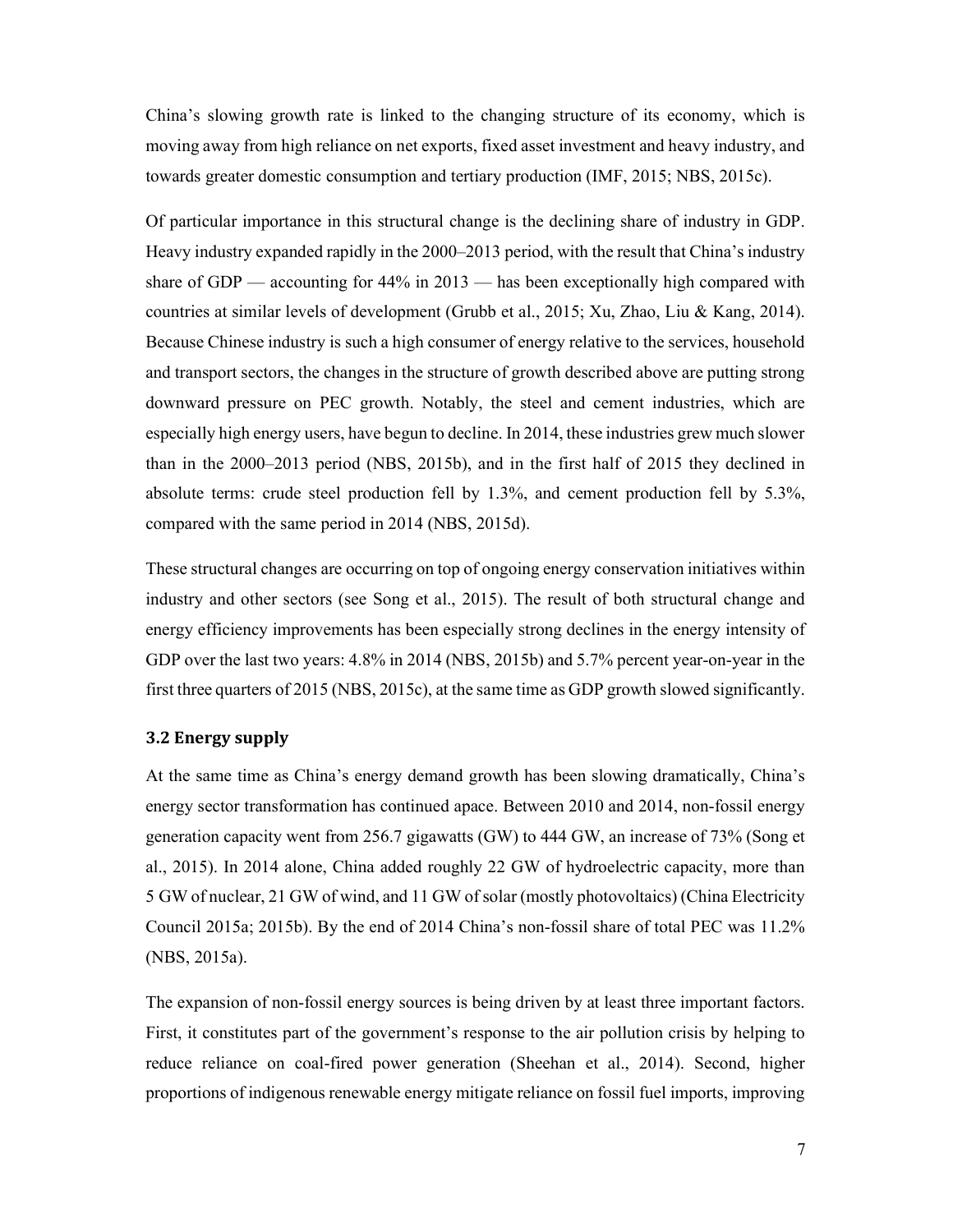China's slowing growth rate is linked to the changing structure of its economy, which is moving away from high reliance on net exports, fixed asset investment and heavy industry, and towards greater domestic consumption and tertiary production (IMF, 2015; NBS, 2015c).

Of particular importance in this structural change is the declining share of industry in GDP. Heavy industry expanded rapidly in the 2000–2013 period, with the result that China's industry share of GDP — accounting for 44% in 2013 — has been exceptionally high compared with countries at similar levels of development (Grubb et al., 2015; Xu, Zhao, Liu & Kang, 2014). Because Chinese industry is such a high consumer of energy relative to the services, household and transport sectors, the changes in the structure of growth described above are putting strong downward pressure on PEC growth. Notably, the steel and cement industries, which are especially high energy users, have begun to decline. In 2014, these industries grew much slower than in the 2000–2013 period (NBS, 2015b), and in the first half of 2015 they declined in absolute terms: crude steel production fell by 1.3%, and cement production fell by 5.3%, compared with the same period in 2014 (NBS, 2015d).

These structural changes are occurring on top of ongoing energy conservation initiatives within industry and other sectors (see Song et al., 2015). The result of both structural change and energy efficiency improvements has been especially strong declines in the energy intensity of GDP over the last two years: 4.8% in 2014 (NBS, 2015b) and 5.7% percent year-on-year in the first three quarters of 2015 (NBS, 2015c), at the same time as GDP growth slowed significantly.

### 3.2 Energy supply

At the same time as China's energy demand growth has been slowing dramatically, China's energy sector transformation has continued apace. Between 2010 and 2014, non-fossil energy generation capacity went from 256.7 gigawatts (GW) to 444 GW, an increase of 73% (Song et al., 2015). In 2014 alone, China added roughly 22 GW of hydroelectric capacity, more than 5 GW of nuclear, 21 GW of wind, and 11 GW of solar (mostly photovoltaics) (China Electricity Council 2015a; 2015b). By the end of 2014 China's non-fossil share of total PEC was 11.2% (NBS, 2015a).

The expansion of non-fossil energy sources is being driven by at least three important factors. First, it constitutes part of the government's response to the air pollution crisis by helping to reduce reliance on coal-fired power generation (Sheehan et al., 2014). Second, higher proportions of indigenous renewable energy mitigate reliance on fossil fuel imports, improving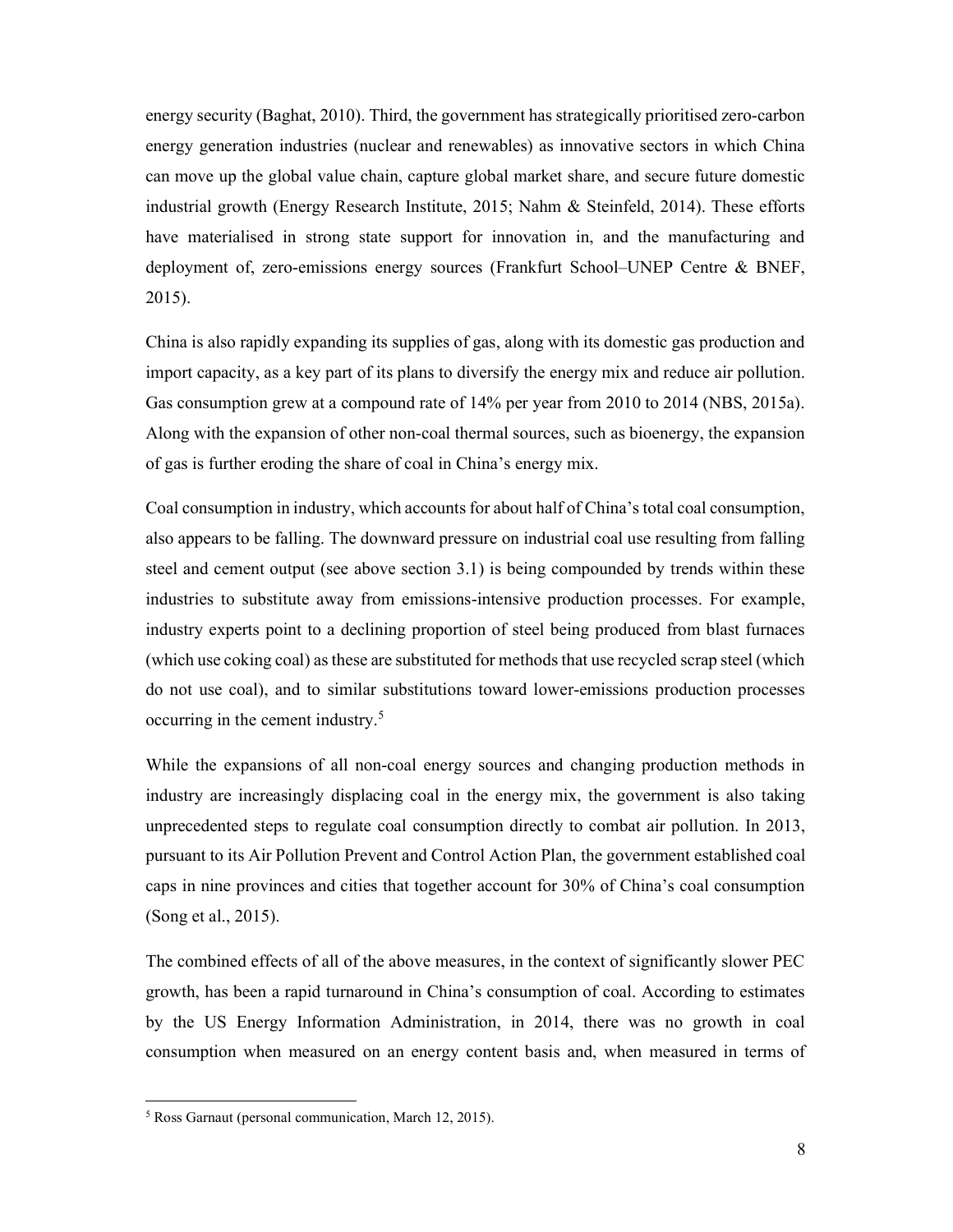energy security (Baghat, 2010). Third, the government has strategically prioritised zero-carbon energy generation industries (nuclear and renewables) as innovative sectors in which China can move up the global value chain, capture global market share, and secure future domestic industrial growth (Energy Research Institute, 2015; Nahm & Steinfeld, 2014). These efforts have materialised in strong state support for innovation in, and the manufacturing and deployment of, zero-emissions energy sources (Frankfurt School–UNEP Centre & BNEF, 2015).

China is also rapidly expanding its supplies of gas, along with its domestic gas production and import capacity, as a key part of its plans to diversify the energy mix and reduce air pollution. Gas consumption grew at a compound rate of 14% per year from 2010 to 2014 (NBS, 2015a). Along with the expansion of other non-coal thermal sources, such as bioenergy, the expansion of gas is further eroding the share of coal in China's energy mix.

Coal consumption in industry, which accounts for about half of China's total coal consumption, also appears to be falling. The downward pressure on industrial coal use resulting from falling steel and cement output (see above section 3.1) is being compounded by trends within these industries to substitute away from emissions-intensive production processes. For example, industry experts point to a declining proportion of steel being produced from blast furnaces (which use coking coal) as these are substituted for methods that use recycled scrap steel (which do not use coal), and to similar substitutions toward lower-emissions production processes occurring in the cement industry.<sup>5</sup>

While the expansions of all non-coal energy sources and changing production methods in industry are increasingly displacing coal in the energy mix, the government is also taking unprecedented steps to regulate coal consumption directly to combat air pollution. In 2013, pursuant to its Air Pollution Prevent and Control Action Plan, the government established coal caps in nine provinces and cities that together account for 30% of China's coal consumption (Song et al., 2015).

The combined effects of all of the above measures, in the context of significantly slower PEC growth, has been a rapid turnaround in China's consumption of coal. According to estimates by the US Energy Information Administration, in 2014, there was no growth in coal consumption when measured on an energy content basis and, when measured in terms of

<sup>5</sup> Ross Garnaut (personal communication, March 12, 2015).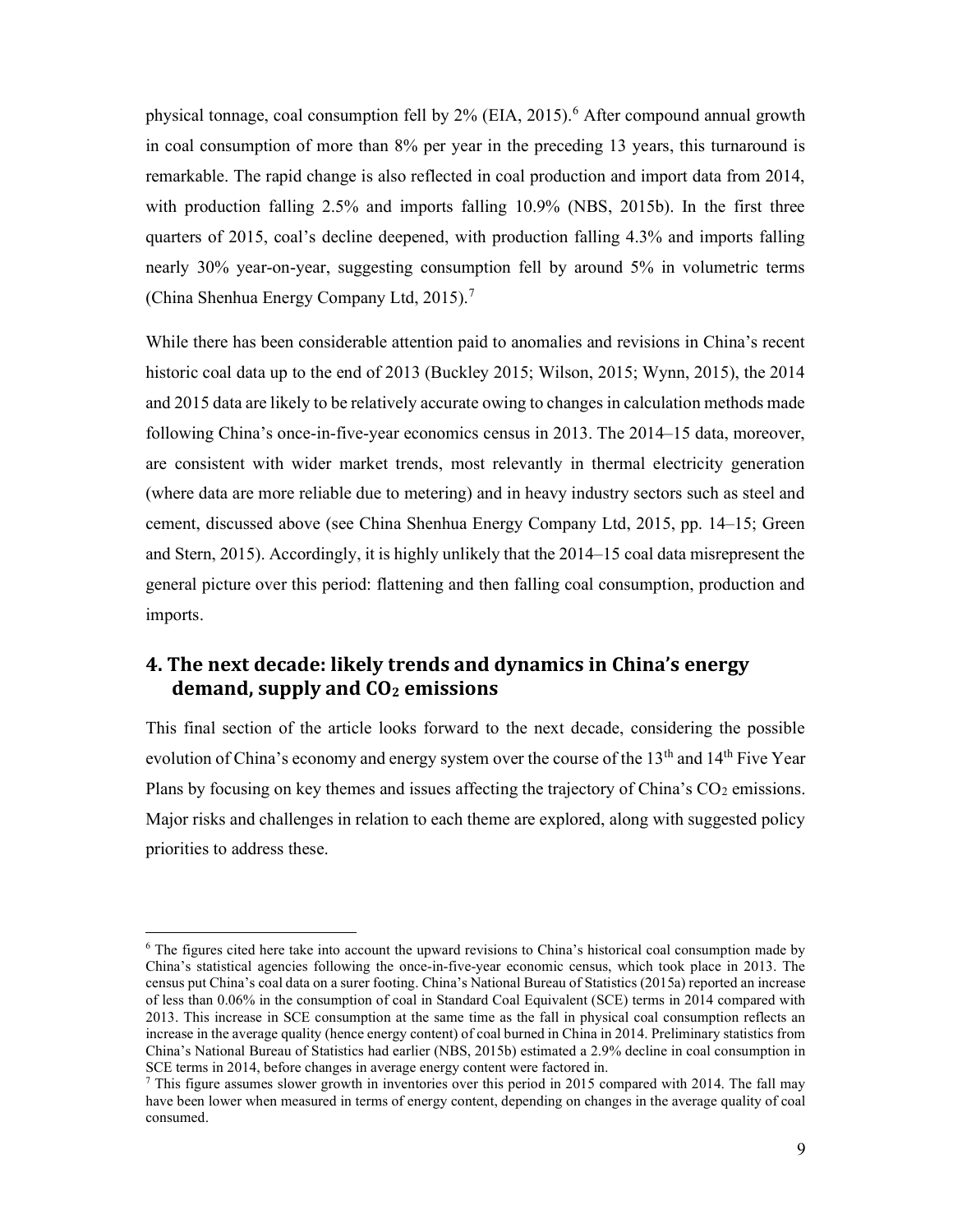physical tonnage, coal consumption fell by 2% (EIA, 2015).<sup>6</sup> After compound annual growth in coal consumption of more than 8% per year in the preceding 13 years, this turnaround is remarkable. The rapid change is also reflected in coal production and import data from 2014, with production falling 2.5% and imports falling 10.9% (NBS, 2015b). In the first three quarters of 2015, coal's decline deepened, with production falling 4.3% and imports falling nearly 30% year-on-year, suggesting consumption fell by around 5% in volumetric terms (China Shenhua Energy Company Ltd, 2015).<sup>7</sup>

While there has been considerable attention paid to anomalies and revisions in China's recent historic coal data up to the end of 2013 (Buckley 2015; Wilson, 2015; Wynn, 2015), the 2014 and 2015 data are likely to be relatively accurate owing to changes in calculation methods made following China's once-in-five-year economics census in 2013. The 2014–15 data, moreover, are consistent with wider market trends, most relevantly in thermal electricity generation (where data are more reliable due to metering) and in heavy industry sectors such as steel and cement, discussed above (see China Shenhua Energy Company Ltd, 2015, pp. 14–15; Green and Stern, 2015). Accordingly, it is highly unlikely that the 2014–15 coal data misrepresent the general picture over this period: flattening and then falling coal consumption, production and imports.

# 4. The next decade: likely trends and dynamics in China's energy demand, supply and  $CO<sub>2</sub>$  emissions

This final section of the article looks forward to the next decade, considering the possible evolution of China's economy and energy system over the course of the  $13<sup>th</sup>$  and  $14<sup>th</sup>$  Five Year Plans by focusing on key themes and issues affecting the trajectory of China's  $CO<sub>2</sub>$  emissions. Major risks and challenges in relation to each theme are explored, along with suggested policy priorities to address these.

<sup>&</sup>lt;sup>6</sup> The figures cited here take into account the upward revisions to China's historical coal consumption made by China's statistical agencies following the once-in-five-year economic census, which took place in 2013. The census put China's coal data on a surer footing. China's National Bureau of Statistics (2015a) reported an increase of less than 0.06% in the consumption of coal in Standard Coal Equivalent (SCE) terms in 2014 compared with 2013. This increase in SCE consumption at the same time as the fall in physical coal consumption reflects an increase in the average quality (hence energy content) of coal burned in China in 2014. Preliminary statistics from China's National Bureau of Statistics had earlier (NBS, 2015b) estimated a 2.9% decline in coal consumption in SCE terms in 2014, before changes in average energy content were factored in.

<sup>&</sup>lt;sup>7</sup> This figure assumes slower growth in inventories over this period in 2015 compared with 2014. The fall may have been lower when measured in terms of energy content, depending on changes in the average quality of coal consumed.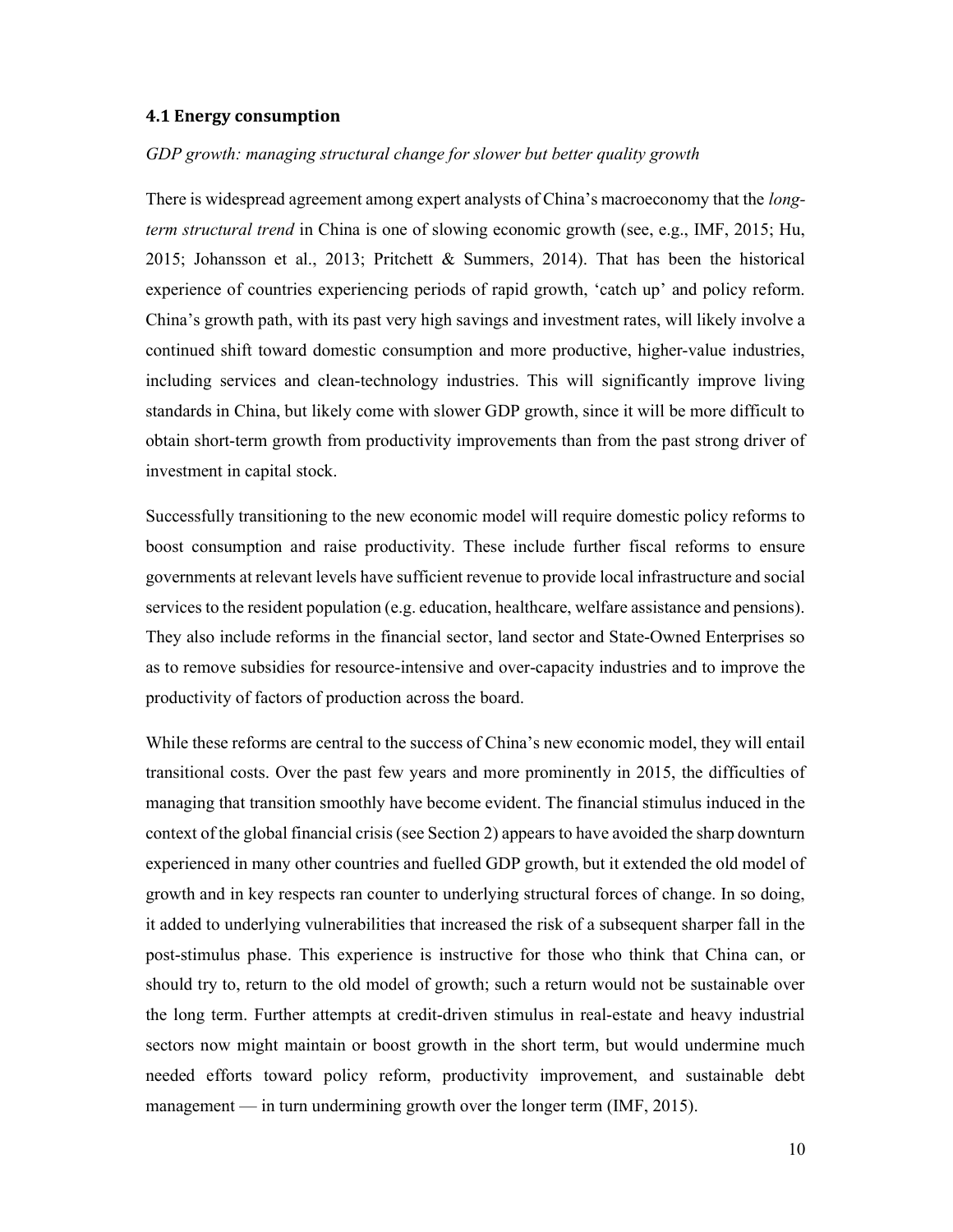### 4.1 Energy consumption

### GDP growth: managing structural change for slower but better quality growth

There is widespread agreement among expert analysts of China's macroeconomy that the *long*term structural trend in China is one of slowing economic growth (see, e.g., IMF, 2015; Hu, 2015; Johansson et al., 2013; Pritchett & Summers, 2014). That has been the historical experience of countries experiencing periods of rapid growth, 'catch up' and policy reform. China's growth path, with its past very high savings and investment rates, will likely involve a continued shift toward domestic consumption and more productive, higher-value industries, including services and clean-technology industries. This will significantly improve living standards in China, but likely come with slower GDP growth, since it will be more difficult to obtain short-term growth from productivity improvements than from the past strong driver of investment in capital stock.

Successfully transitioning to the new economic model will require domestic policy reforms to boost consumption and raise productivity. These include further fiscal reforms to ensure governments at relevant levels have sufficient revenue to provide local infrastructure and social services to the resident population (e.g. education, healthcare, welfare assistance and pensions). They also include reforms in the financial sector, land sector and State-Owned Enterprises so as to remove subsidies for resource-intensive and over-capacity industries and to improve the productivity of factors of production across the board.

While these reforms are central to the success of China's new economic model, they will entail transitional costs. Over the past few years and more prominently in 2015, the difficulties of managing that transition smoothly have become evident. The financial stimulus induced in the context of the global financial crisis (see Section 2) appears to have avoided the sharp downturn experienced in many other countries and fuelled GDP growth, but it extended the old model of growth and in key respects ran counter to underlying structural forces of change. In so doing, it added to underlying vulnerabilities that increased the risk of a subsequent sharper fall in the post-stimulus phase. This experience is instructive for those who think that China can, or should try to, return to the old model of growth; such a return would not be sustainable over the long term. Further attempts at credit-driven stimulus in real-estate and heavy industrial sectors now might maintain or boost growth in the short term, but would undermine much needed efforts toward policy reform, productivity improvement, and sustainable debt management — in turn undermining growth over the longer term (IMF, 2015).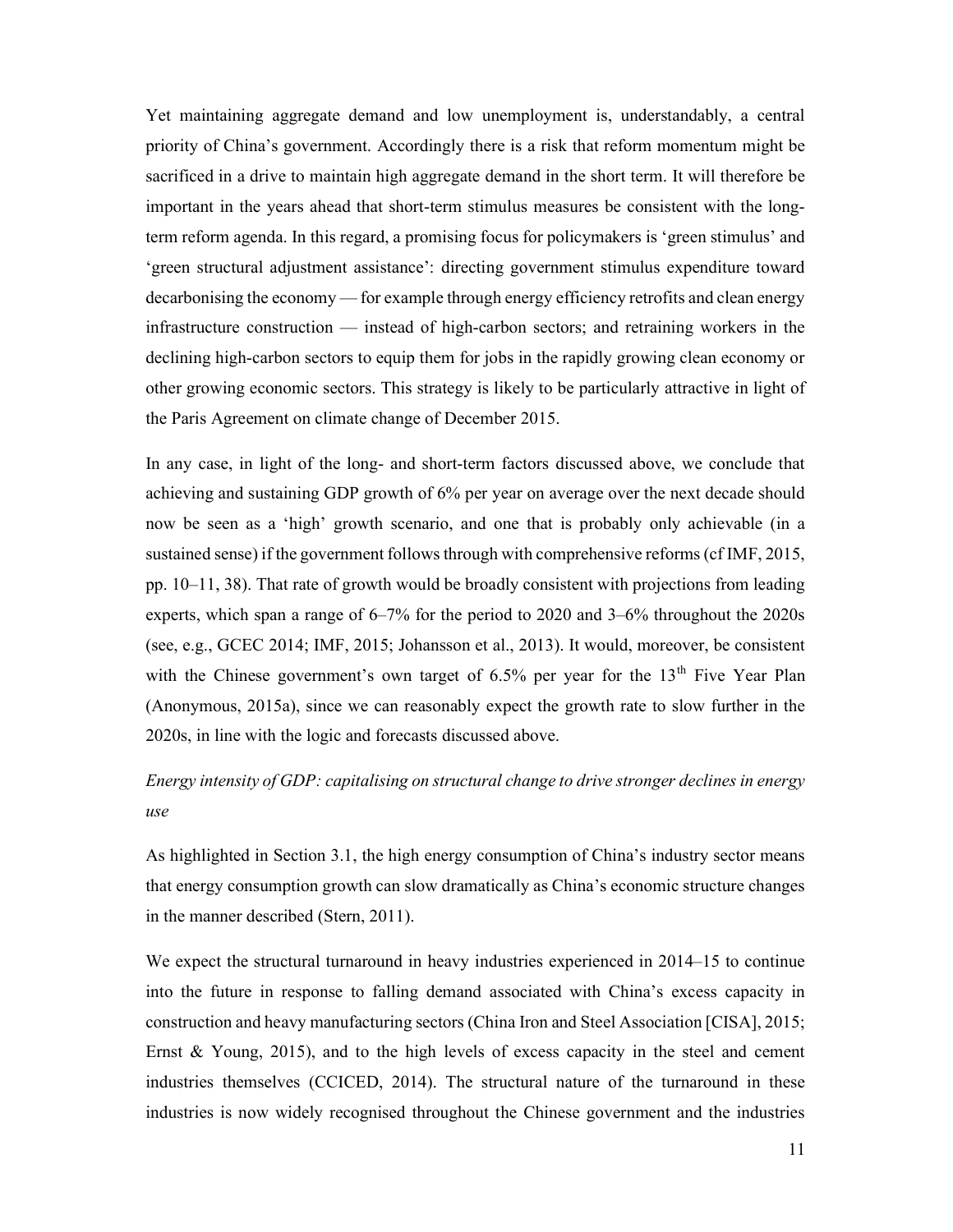Yet maintaining aggregate demand and low unemployment is, understandably, a central priority of China's government. Accordingly there is a risk that reform momentum might be sacrificed in a drive to maintain high aggregate demand in the short term. It will therefore be important in the years ahead that short-term stimulus measures be consistent with the longterm reform agenda. In this regard, a promising focus for policymakers is 'green stimulus' and 'green structural adjustment assistance': directing government stimulus expenditure toward decarbonising the economy — for example through energy efficiency retrofits and clean energy infrastructure construction — instead of high-carbon sectors; and retraining workers in the declining high-carbon sectors to equip them for jobs in the rapidly growing clean economy or other growing economic sectors. This strategy is likely to be particularly attractive in light of the Paris Agreement on climate change of December 2015.

In any case, in light of the long- and short-term factors discussed above, we conclude that achieving and sustaining GDP growth of 6% per year on average over the next decade should now be seen as a 'high' growth scenario, and one that is probably only achievable (in a sustained sense) if the government follows through with comprehensive reforms (cf IMF, 2015, pp.  $10-11$ , 38). That rate of growth would be broadly consistent with projections from leading experts, which span a range of 6–7% for the period to 2020 and 3–6% throughout the 2020s (see, e.g., GCEC 2014; IMF, 2015; Johansson et al., 2013). It would, moreover, be consistent with the Chinese government's own target of  $6.5\%$  per year for the  $13<sup>th</sup>$  Five Year Plan (Anonymous, 2015a), since we can reasonably expect the growth rate to slow further in the 2020s, in line with the logic and forecasts discussed above.

# Energy intensity of GDP: capitalising on structural change to drive stronger declines in energy use

As highlighted in Section 3.1, the high energy consumption of China's industry sector means that energy consumption growth can slow dramatically as China's economic structure changes in the manner described (Stern, 2011).

We expect the structural turnaround in heavy industries experienced in 2014–15 to continue into the future in response to falling demand associated with China's excess capacity in construction and heavy manufacturing sectors (China Iron and Steel Association [CISA], 2015; Ernst & Young, 2015), and to the high levels of excess capacity in the steel and cement industries themselves (CCICED, 2014). The structural nature of the turnaround in these industries is now widely recognised throughout the Chinese government and the industries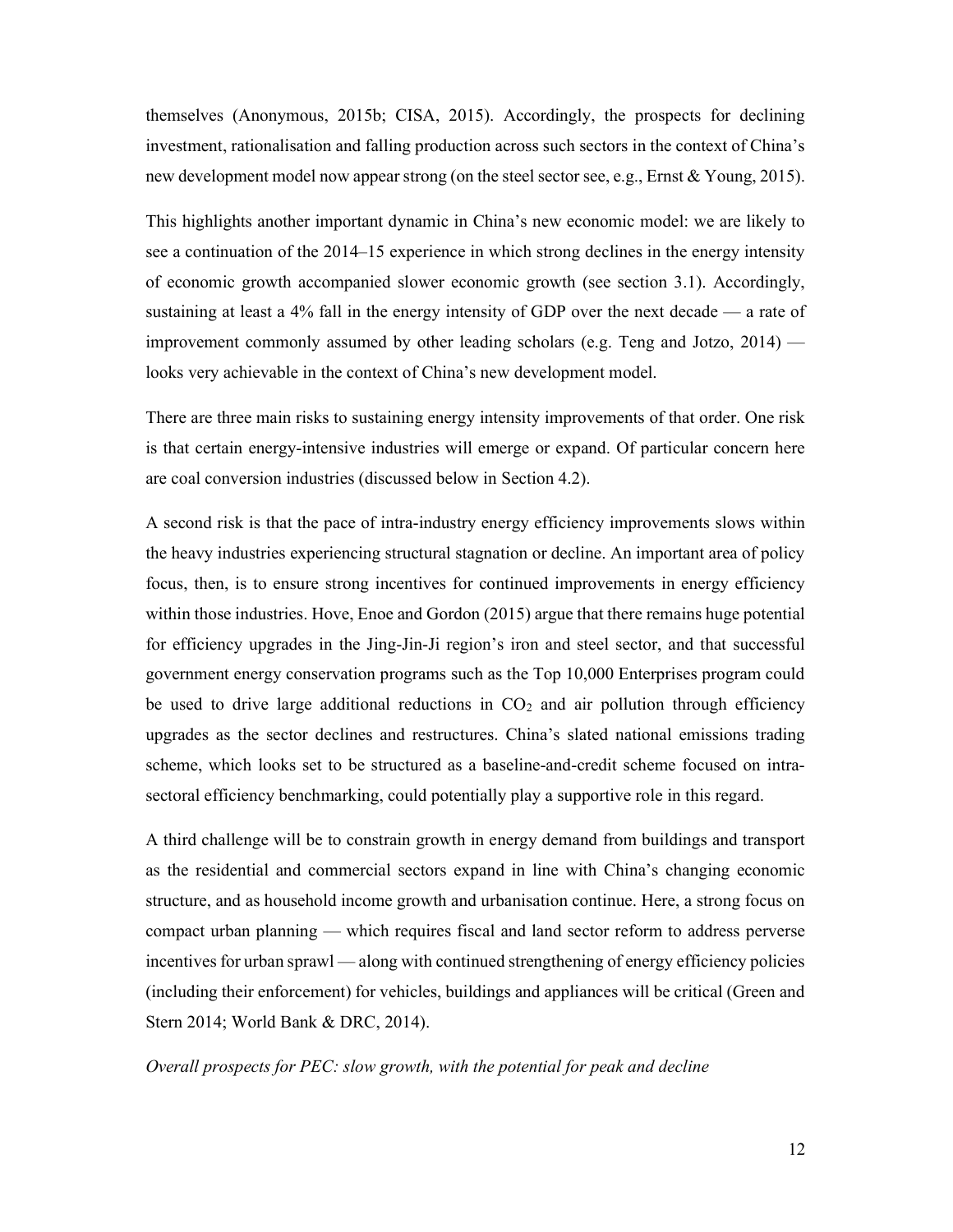themselves (Anonymous, 2015b; CISA, 2015). Accordingly, the prospects for declining investment, rationalisation and falling production across such sectors in the context of China's new development model now appear strong (on the steel sector see, e.g., Ernst & Young, 2015).

This highlights another important dynamic in China's new economic model: we are likely to see a continuation of the 2014–15 experience in which strong declines in the energy intensity of economic growth accompanied slower economic growth (see section 3.1). Accordingly, sustaining at least a 4% fall in the energy intensity of GDP over the next decade — a rate of improvement commonly assumed by other leading scholars (e.g. Teng and Jotzo, 2014) looks very achievable in the context of China's new development model.

There are three main risks to sustaining energy intensity improvements of that order. One risk is that certain energy-intensive industries will emerge or expand. Of particular concern here are coal conversion industries (discussed below in Section 4.2).

A second risk is that the pace of intra-industry energy efficiency improvements slows within the heavy industries experiencing structural stagnation or decline. An important area of policy focus, then, is to ensure strong incentives for continued improvements in energy efficiency within those industries. Hove, Enoe and Gordon (2015) argue that there remains huge potential for efficiency upgrades in the Jing-Jin-Ji region's iron and steel sector, and that successful government energy conservation programs such as the Top 10,000 Enterprises program could be used to drive large additional reductions in  $CO<sub>2</sub>$  and air pollution through efficiency upgrades as the sector declines and restructures. China's slated national emissions trading scheme, which looks set to be structured as a baseline-and-credit scheme focused on intrasectoral efficiency benchmarking, could potentially play a supportive role in this regard.

A third challenge will be to constrain growth in energy demand from buildings and transport as the residential and commercial sectors expand in line with China's changing economic structure, and as household income growth and urbanisation continue. Here, a strong focus on compact urban planning — which requires fiscal and land sector reform to address perverse incentives for urban sprawl — along with continued strengthening of energy efficiency policies (including their enforcement) for vehicles, buildings and appliances will be critical (Green and Stern 2014; World Bank & DRC, 2014).

### Overall prospects for PEC: slow growth, with the potential for peak and decline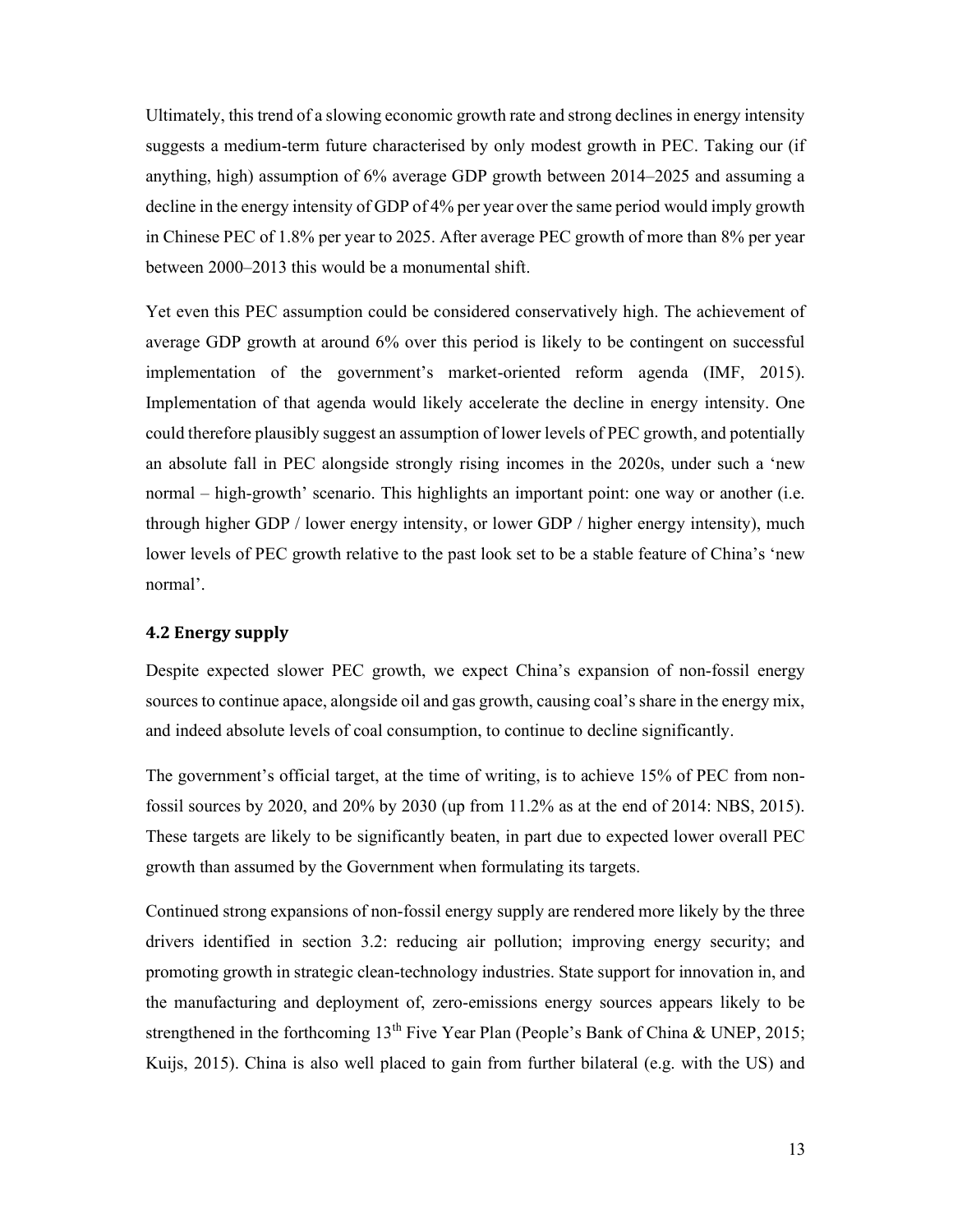Ultimately, this trend of a slowing economic growth rate and strong declines in energy intensity suggests a medium-term future characterised by only modest growth in PEC. Taking our (if anything, high) assumption of 6% average GDP growth between 2014–2025 and assuming a decline in the energy intensity of GDP of 4% per year over the same period would imply growth in Chinese PEC of 1.8% per year to 2025. After average PEC growth of more than 8% per year between 2000–2013 this would be a monumental shift.

Yet even this PEC assumption could be considered conservatively high. The achievement of average GDP growth at around 6% over this period is likely to be contingent on successful implementation of the government's market-oriented reform agenda (IMF, 2015). Implementation of that agenda would likely accelerate the decline in energy intensity. One could therefore plausibly suggest an assumption of lower levels of PEC growth, and potentially an absolute fall in PEC alongside strongly rising incomes in the 2020s, under such a 'new normal – high-growth' scenario. This highlights an important point: one way or another (i.e. through higher GDP / lower energy intensity, or lower GDP / higher energy intensity), much lower levels of PEC growth relative to the past look set to be a stable feature of China's 'new normal'.

### 4.2 Energy supply

Despite expected slower PEC growth, we expect China's expansion of non-fossil energy sources to continue apace, alongside oil and gas growth, causing coal's share in the energy mix, and indeed absolute levels of coal consumption, to continue to decline significantly.

The government's official target, at the time of writing, is to achieve 15% of PEC from nonfossil sources by 2020, and 20% by 2030 (up from 11.2% as at the end of 2014: NBS, 2015). These targets are likely to be significantly beaten, in part due to expected lower overall PEC growth than assumed by the Government when formulating its targets.

Continued strong expansions of non-fossil energy supply are rendered more likely by the three drivers identified in section 3.2: reducing air pollution; improving energy security; and promoting growth in strategic clean-technology industries. State support for innovation in, and the manufacturing and deployment of, zero-emissions energy sources appears likely to be strengthened in the forthcoming  $13<sup>th</sup>$  Five Year Plan (People's Bank of China & UNEP, 2015; Kuijs, 2015). China is also well placed to gain from further bilateral (e.g. with the US) and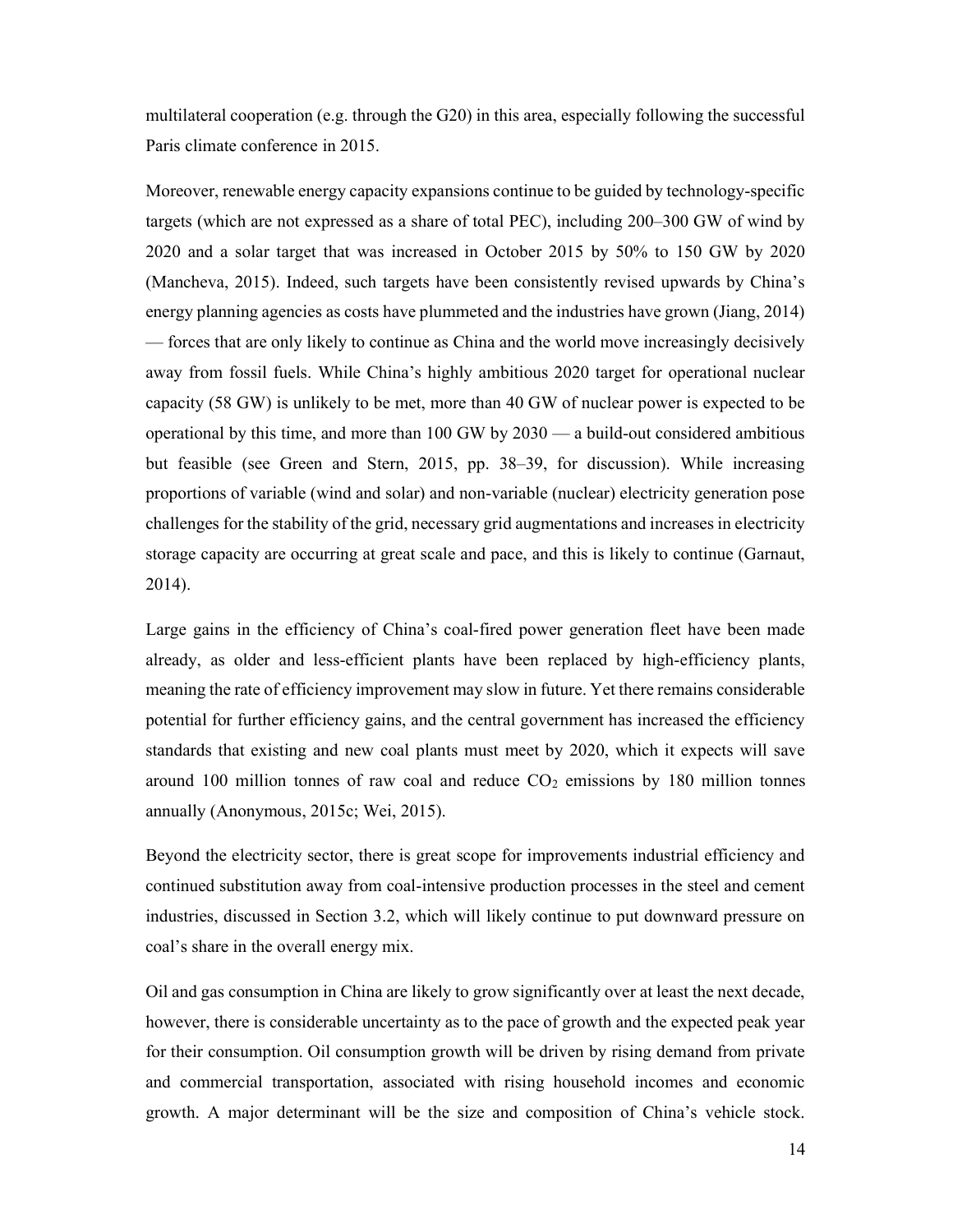multilateral cooperation (e.g. through the G20) in this area, especially following the successful Paris climate conference in 2015.

Moreover, renewable energy capacity expansions continue to be guided by technology-specific targets (which are not expressed as a share of total PEC), including 200–300 GW of wind by 2020 and a solar target that was increased in October 2015 by 50% to 150 GW by 2020 (Mancheva, 2015). Indeed, such targets have been consistently revised upwards by China's energy planning agencies as costs have plummeted and the industries have grown (Jiang, 2014) — forces that are only likely to continue as China and the world move increasingly decisively away from fossil fuels. While China's highly ambitious 2020 target for operational nuclear capacity (58 GW) is unlikely to be met, more than 40 GW of nuclear power is expected to be operational by this time, and more than 100 GW by 2030 — a build-out considered ambitious but feasible (see Green and Stern, 2015, pp. 38–39, for discussion). While increasing proportions of variable (wind and solar) and non-variable (nuclear) electricity generation pose challenges for the stability of the grid, necessary grid augmentations and increases in electricity storage capacity are occurring at great scale and pace, and this is likely to continue (Garnaut, 2014).

Large gains in the efficiency of China's coal-fired power generation fleet have been made already, as older and less-efficient plants have been replaced by high-efficiency plants, meaning the rate of efficiency improvement may slow in future. Yet there remains considerable potential for further efficiency gains, and the central government has increased the efficiency standards that existing and new coal plants must meet by 2020, which it expects will save around 100 million tonnes of raw coal and reduce  $CO<sub>2</sub>$  emissions by 180 million tonnes annually (Anonymous, 2015c; Wei, 2015).

Beyond the electricity sector, there is great scope for improvements industrial efficiency and continued substitution away from coal-intensive production processes in the steel and cement industries, discussed in Section 3.2, which will likely continue to put downward pressure on coal's share in the overall energy mix.

Oil and gas consumption in China are likely to grow significantly over at least the next decade, however, there is considerable uncertainty as to the pace of growth and the expected peak year for their consumption. Oil consumption growth will be driven by rising demand from private and commercial transportation, associated with rising household incomes and economic growth. A major determinant will be the size and composition of China's vehicle stock.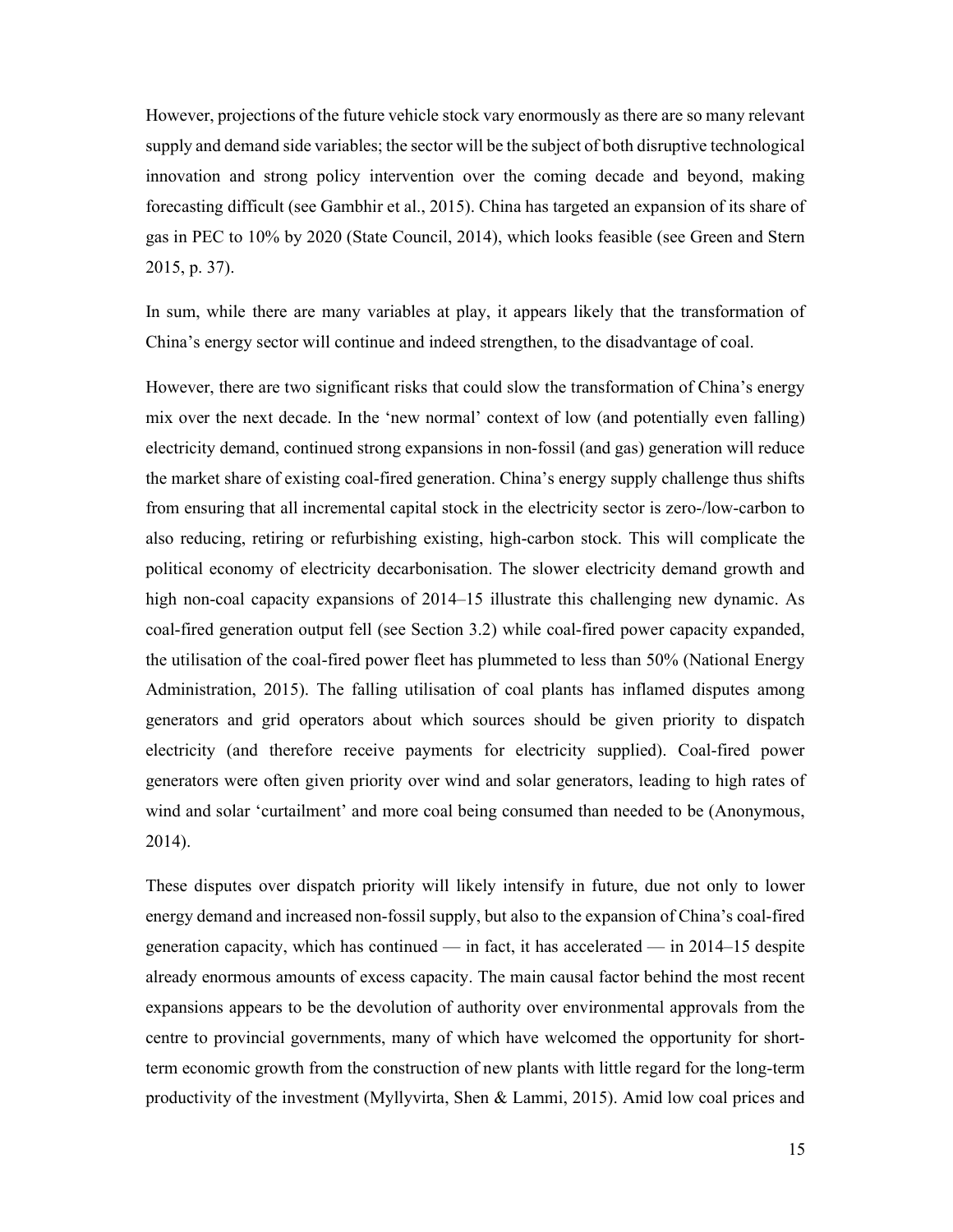However, projections of the future vehicle stock vary enormously as there are so many relevant supply and demand side variables; the sector will be the subject of both disruptive technological innovation and strong policy intervention over the coming decade and beyond, making forecasting difficult (see Gambhir et al., 2015). China has targeted an expansion of its share of gas in PEC to 10% by 2020 (State Council, 2014), which looks feasible (see Green and Stern 2015, p. 37).

In sum, while there are many variables at play, it appears likely that the transformation of China's energy sector will continue and indeed strengthen, to the disadvantage of coal.

However, there are two significant risks that could slow the transformation of China's energy mix over the next decade. In the 'new normal' context of low (and potentially even falling) electricity demand, continued strong expansions in non-fossil (and gas) generation will reduce the market share of existing coal-fired generation. China's energy supply challenge thus shifts from ensuring that all incremental capital stock in the electricity sector is zero-/low-carbon to also reducing, retiring or refurbishing existing, high-carbon stock. This will complicate the political economy of electricity decarbonisation. The slower electricity demand growth and high non-coal capacity expansions of 2014–15 illustrate this challenging new dynamic. As coal-fired generation output fell (see Section 3.2) while coal-fired power capacity expanded, the utilisation of the coal-fired power fleet has plummeted to less than 50% (National Energy Administration, 2015). The falling utilisation of coal plants has inflamed disputes among generators and grid operators about which sources should be given priority to dispatch electricity (and therefore receive payments for electricity supplied). Coal-fired power generators were often given priority over wind and solar generators, leading to high rates of wind and solar 'curtailment' and more coal being consumed than needed to be (Anonymous, 2014).

These disputes over dispatch priority will likely intensify in future, due not only to lower energy demand and increased non-fossil supply, but also to the expansion of China's coal-fired generation capacity, which has continued — in fact, it has accelerated — in  $2014$ –15 despite already enormous amounts of excess capacity. The main causal factor behind the most recent expansions appears to be the devolution of authority over environmental approvals from the centre to provincial governments, many of which have welcomed the opportunity for shortterm economic growth from the construction of new plants with little regard for the long-term productivity of the investment (Myllyvirta, Shen & Lammi, 2015). Amid low coal prices and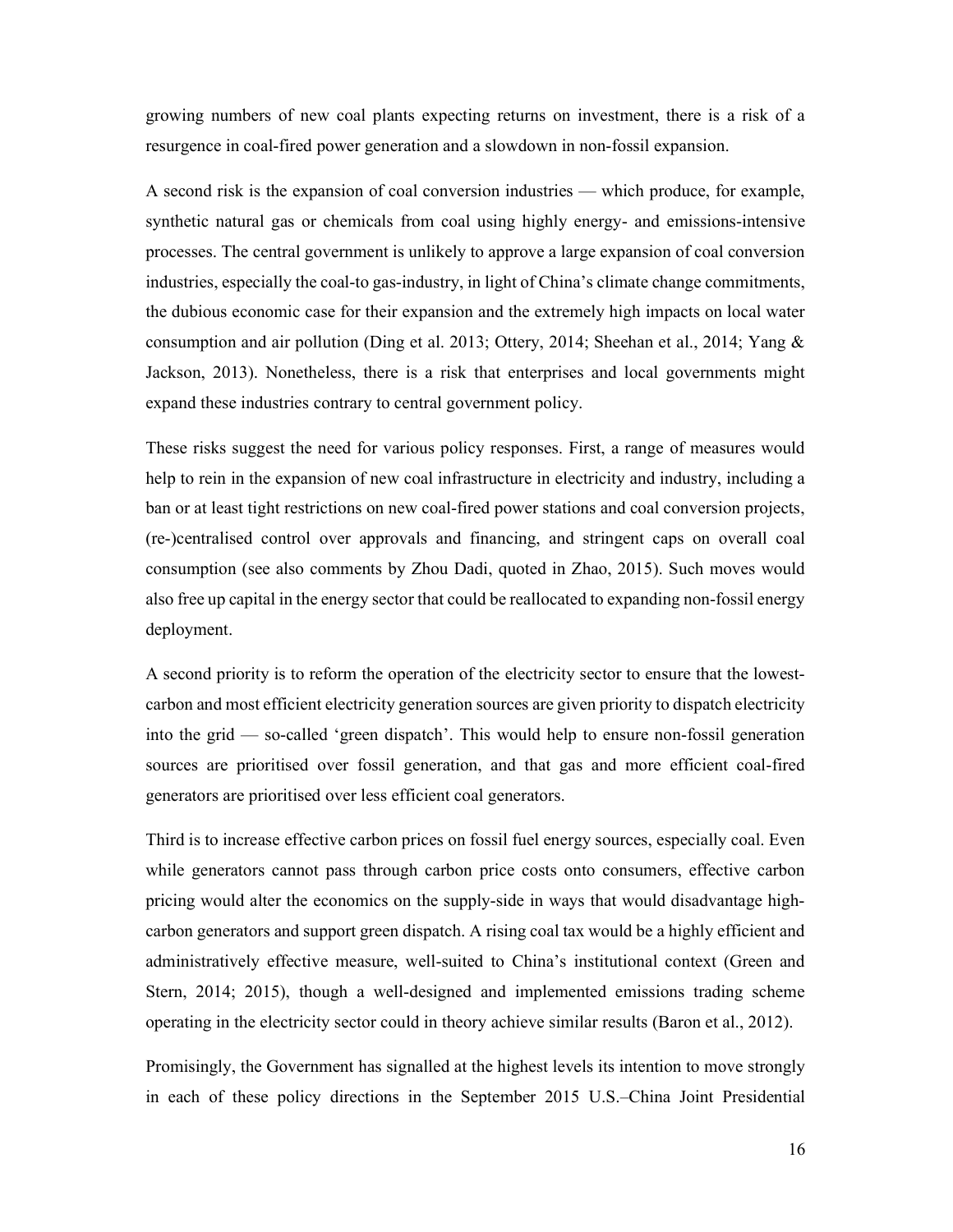growing numbers of new coal plants expecting returns on investment, there is a risk of a resurgence in coal-fired power generation and a slowdown in non-fossil expansion.

A second risk is the expansion of coal conversion industries — which produce, for example, synthetic natural gas or chemicals from coal using highly energy- and emissions-intensive processes. The central government is unlikely to approve a large expansion of coal conversion industries, especially the coal-to gas-industry, in light of China's climate change commitments, the dubious economic case for their expansion and the extremely high impacts on local water consumption and air pollution (Ding et al. 2013; Ottery, 2014; Sheehan et al., 2014; Yang & Jackson, 2013). Nonetheless, there is a risk that enterprises and local governments might expand these industries contrary to central government policy.

These risks suggest the need for various policy responses. First, a range of measures would help to rein in the expansion of new coal infrastructure in electricity and industry, including a ban or at least tight restrictions on new coal-fired power stations and coal conversion projects, (re-)centralised control over approvals and financing, and stringent caps on overall coal consumption (see also comments by Zhou Dadi, quoted in Zhao, 2015). Such moves would also free up capital in the energy sector that could be reallocated to expanding non-fossil energy deployment.

A second priority is to reform the operation of the electricity sector to ensure that the lowestcarbon and most efficient electricity generation sources are given priority to dispatch electricity into the grid — so-called 'green dispatch'. This would help to ensure non-fossil generation sources are prioritised over fossil generation, and that gas and more efficient coal-fired generators are prioritised over less efficient coal generators.

Third is to increase effective carbon prices on fossil fuel energy sources, especially coal. Even while generators cannot pass through carbon price costs onto consumers, effective carbon pricing would alter the economics on the supply-side in ways that would disadvantage highcarbon generators and support green dispatch. A rising coal tax would be a highly efficient and administratively effective measure, well-suited to China's institutional context (Green and Stern, 2014; 2015), though a well-designed and implemented emissions trading scheme operating in the electricity sector could in theory achieve similar results (Baron et al., 2012).

Promisingly, the Government has signalled at the highest levels its intention to move strongly in each of these policy directions in the September 2015 U.S.–China Joint Presidential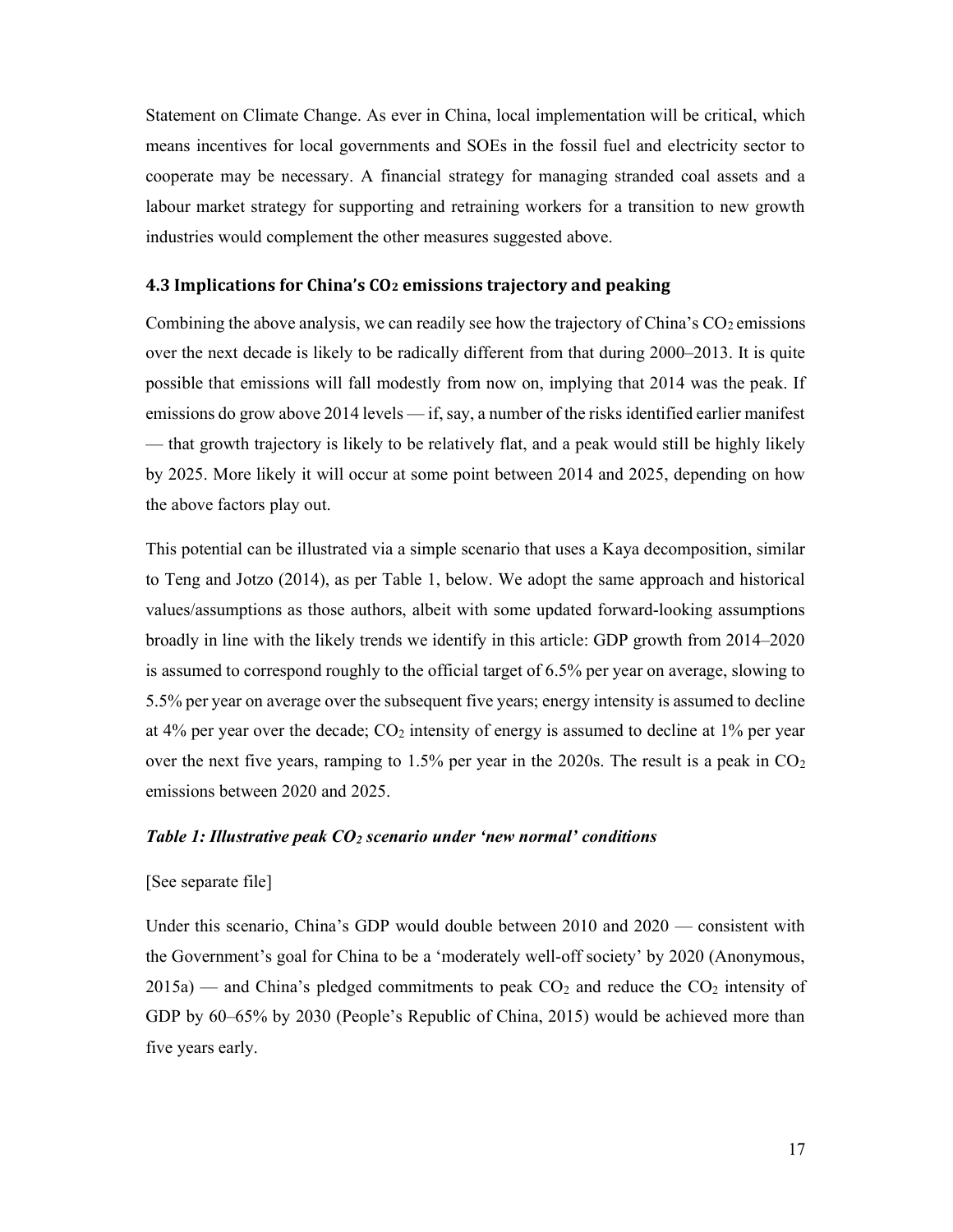Statement on Climate Change. As ever in China, local implementation will be critical, which means incentives for local governments and SOEs in the fossil fuel and electricity sector to cooperate may be necessary. A financial strategy for managing stranded coal assets and a labour market strategy for supporting and retraining workers for a transition to new growth industries would complement the other measures suggested above.

### 4.3 Implications for China's CO2 emissions trajectory and peaking

Combining the above analysis, we can readily see how the trajectory of China's  $CO<sub>2</sub>$  emissions over the next decade is likely to be radically different from that during 2000–2013. It is quite possible that emissions will fall modestly from now on, implying that 2014 was the peak. If emissions do grow above 2014 levels — if, say, a number of the risks identified earlier manifest — that growth trajectory is likely to be relatively flat, and a peak would still be highly likely by 2025. More likely it will occur at some point between 2014 and 2025, depending on how the above factors play out.

This potential can be illustrated via a simple scenario that uses a Kaya decomposition, similar to Teng and Jotzo (2014), as per Table 1, below. We adopt the same approach and historical values/assumptions as those authors, albeit with some updated forward-looking assumptions broadly in line with the likely trends we identify in this article: GDP growth from 2014–2020 is assumed to correspond roughly to the official target of 6.5% per year on average, slowing to 5.5% per year on average over the subsequent five years; energy intensity is assumed to decline at 4% per year over the decade;  $CO<sub>2</sub>$  intensity of energy is assumed to decline at 1% per year over the next five years, ramping to 1.5% per year in the 2020s. The result is a peak in  $CO<sub>2</sub>$ emissions between 2020 and 2025.

### Table 1: Illustrative peak  $CO<sub>2</sub>$  scenario under 'new normal' conditions

### [See separate file]

Under this scenario, China's GDP would double between 2010 and 2020 — consistent with the Government's goal for China to be a 'moderately well-off society' by 2020 (Anonymous,  $2015a$ ) — and China's pledged commitments to peak  $CO<sub>2</sub>$  and reduce the  $CO<sub>2</sub>$  intensity of GDP by 60–65% by 2030 (People's Republic of China, 2015) would be achieved more than five years early.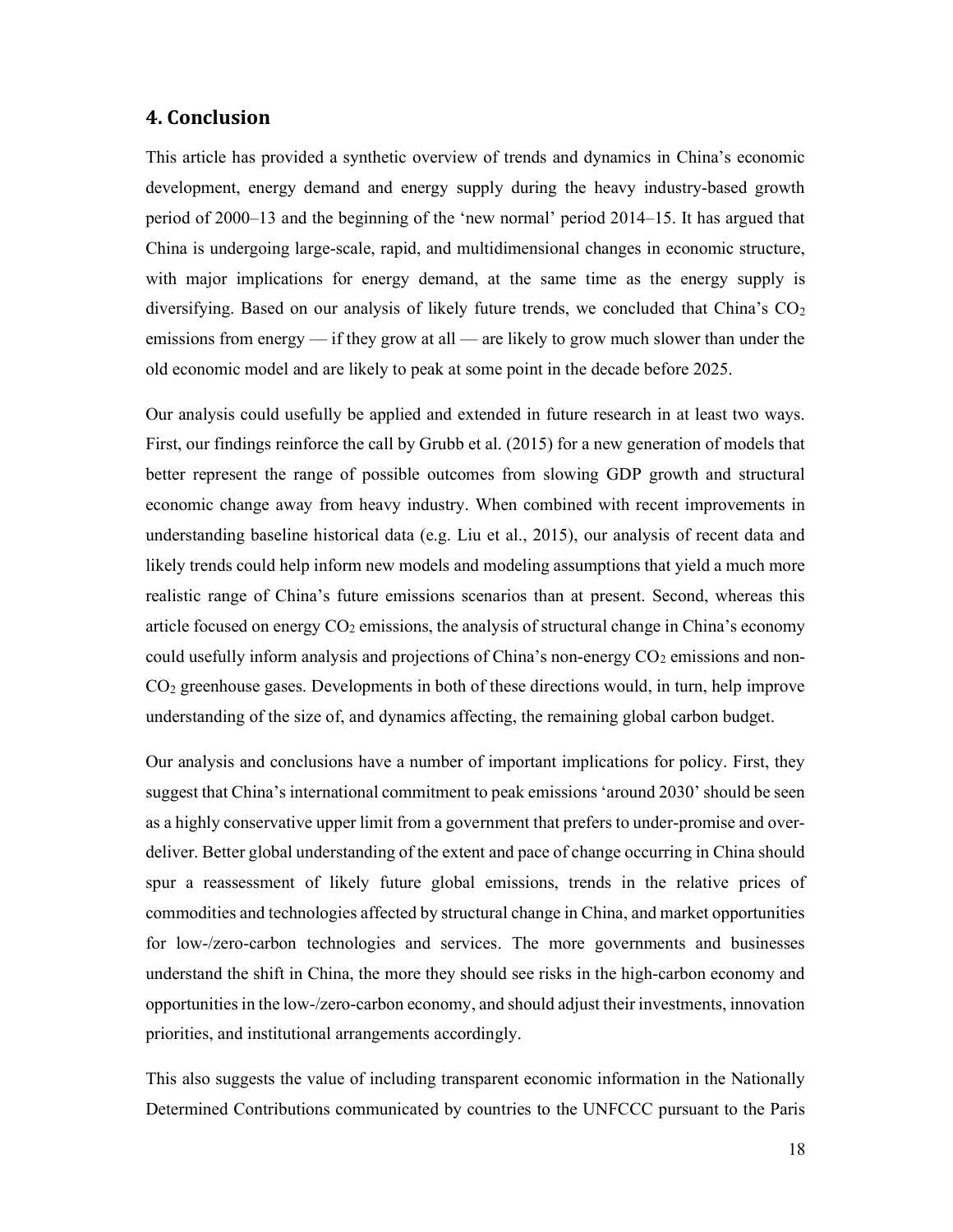# 4. Conclusion

This article has provided a synthetic overview of trends and dynamics in China's economic development, energy demand and energy supply during the heavy industry-based growth period of 2000–13 and the beginning of the 'new normal' period 2014–15. It has argued that China is undergoing large-scale, rapid, and multidimensional changes in economic structure, with major implications for energy demand, at the same time as the energy supply is diversifying. Based on our analysis of likely future trends, we concluded that China's  $CO<sub>2</sub>$ emissions from energy — if they grow at all — are likely to grow much slower than under the old economic model and are likely to peak at some point in the decade before 2025.

Our analysis could usefully be applied and extended in future research in at least two ways. First, our findings reinforce the call by Grubb et al. (2015) for a new generation of models that better represent the range of possible outcomes from slowing GDP growth and structural economic change away from heavy industry. When combined with recent improvements in understanding baseline historical data (e.g. Liu et al., 2015), our analysis of recent data and likely trends could help inform new models and modeling assumptions that yield a much more realistic range of China's future emissions scenarios than at present. Second, whereas this article focused on energy  $CO<sub>2</sub>$  emissions, the analysis of structural change in China's economy could usefully inform analysis and projections of China's non-energy  $CO<sub>2</sub>$  emissions and non-CO2 greenhouse gases. Developments in both of these directions would, in turn, help improve understanding of the size of, and dynamics affecting, the remaining global carbon budget.

Our analysis and conclusions have a number of important implications for policy. First, they suggest that China's international commitment to peak emissions 'around 2030' should be seen as a highly conservative upper limit from a government that prefers to under-promise and overdeliver. Better global understanding of the extent and pace of change occurring in China should spur a reassessment of likely future global emissions, trends in the relative prices of commodities and technologies affected by structural change in China, and market opportunities for low-/zero-carbon technologies and services. The more governments and businesses understand the shift in China, the more they should see risks in the high-carbon economy and opportunities in the low-/zero-carbon economy, and should adjust their investments, innovation priorities, and institutional arrangements accordingly.

This also suggests the value of including transparent economic information in the Nationally Determined Contributions communicated by countries to the UNFCCC pursuant to the Paris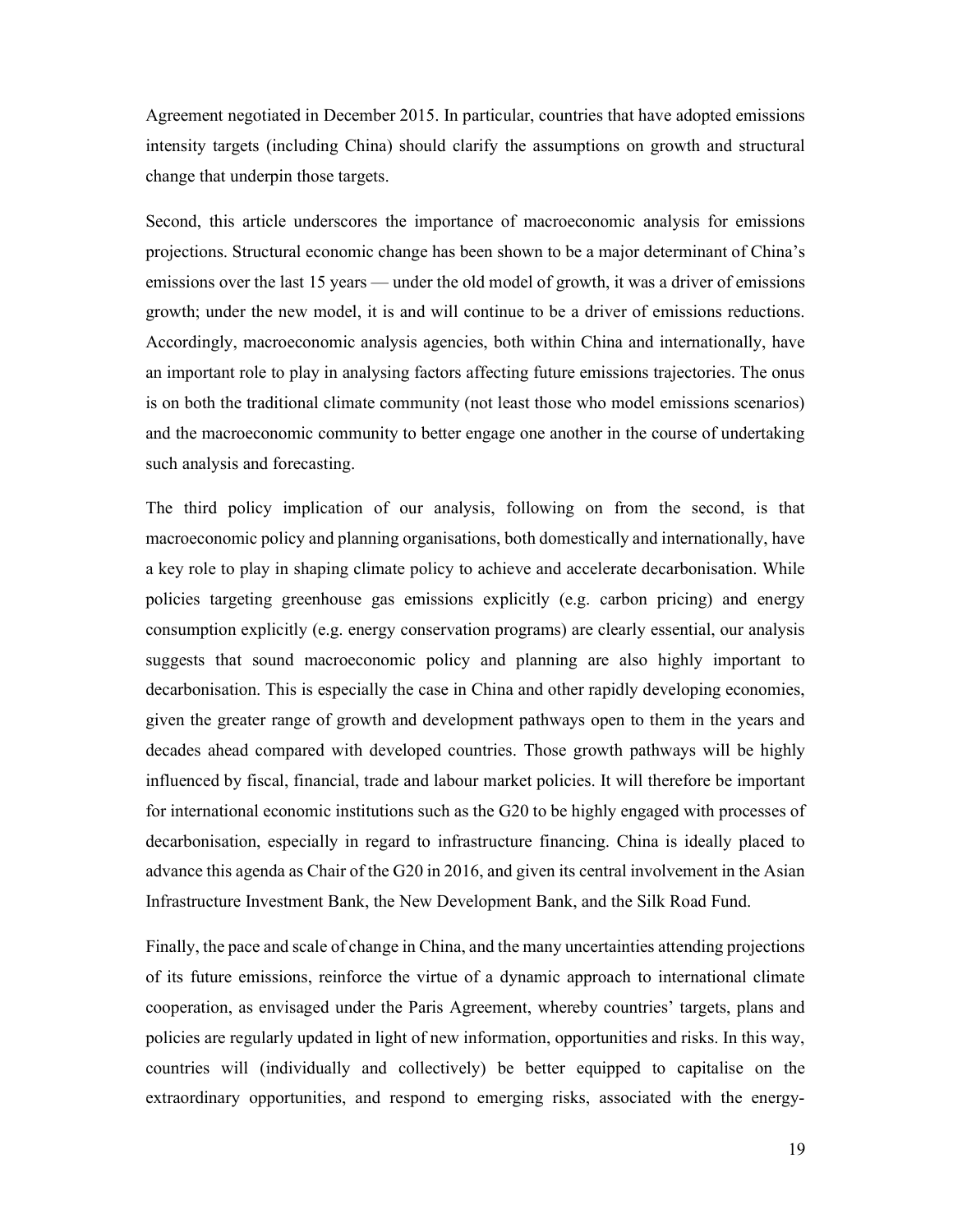Agreement negotiated in December 2015. In particular, countries that have adopted emissions intensity targets (including China) should clarify the assumptions on growth and structural change that underpin those targets.

Second, this article underscores the importance of macroeconomic analysis for emissions projections. Structural economic change has been shown to be a major determinant of China's emissions over the last 15 years — under the old model of growth, it was a driver of emissions growth; under the new model, it is and will continue to be a driver of emissions reductions. Accordingly, macroeconomic analysis agencies, both within China and internationally, have an important role to play in analysing factors affecting future emissions trajectories. The onus is on both the traditional climate community (not least those who model emissions scenarios) and the macroeconomic community to better engage one another in the course of undertaking such analysis and forecasting.

The third policy implication of our analysis, following on from the second, is that macroeconomic policy and planning organisations, both domestically and internationally, have a key role to play in shaping climate policy to achieve and accelerate decarbonisation. While policies targeting greenhouse gas emissions explicitly (e.g. carbon pricing) and energy consumption explicitly (e.g. energy conservation programs) are clearly essential, our analysis suggests that sound macroeconomic policy and planning are also highly important to decarbonisation. This is especially the case in China and other rapidly developing economies, given the greater range of growth and development pathways open to them in the years and decades ahead compared with developed countries. Those growth pathways will be highly influenced by fiscal, financial, trade and labour market policies. It will therefore be important for international economic institutions such as the G20 to be highly engaged with processes of decarbonisation, especially in regard to infrastructure financing. China is ideally placed to advance this agenda as Chair of the G20 in 2016, and given its central involvement in the Asian Infrastructure Investment Bank, the New Development Bank, and the Silk Road Fund.

Finally, the pace and scale of change in China, and the many uncertainties attending projections of its future emissions, reinforce the virtue of a dynamic approach to international climate cooperation, as envisaged under the Paris Agreement, whereby countries' targets, plans and policies are regularly updated in light of new information, opportunities and risks. In this way, countries will (individually and collectively) be better equipped to capitalise on the extraordinary opportunities, and respond to emerging risks, associated with the energy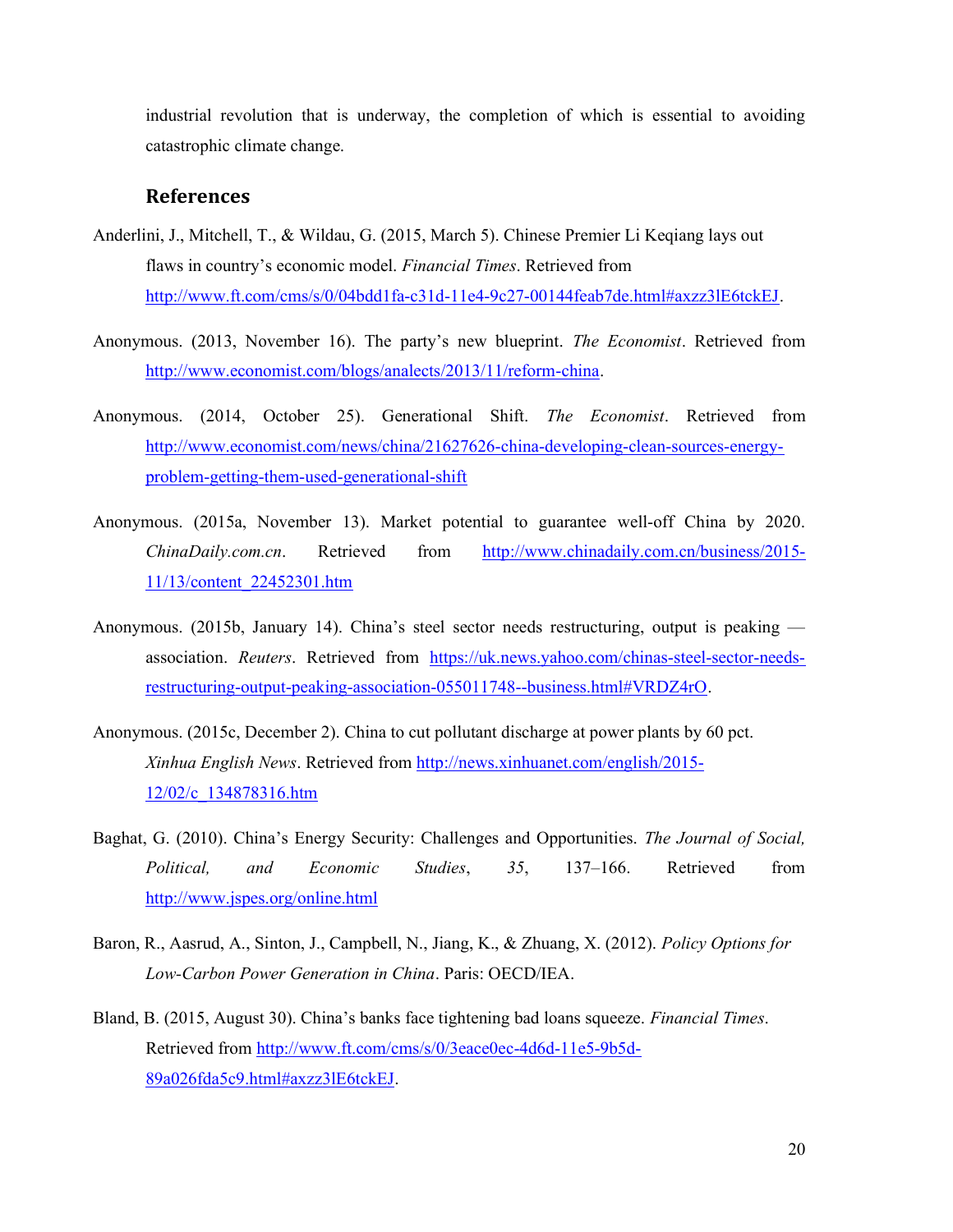industrial revolution that is underway, the completion of which is essential to avoiding catastrophic climate change.

# References

- Anderlini, J., Mitchell, T., & Wildau, G. (2015, March 5). Chinese Premier Li Keqiang lays out flaws in country's economic model. Financial Times. Retrieved from http://www.ft.com/cms/s/0/04bdd1fa-c31d-11e4-9c27-00144feab7de.html#axzz3lE6tckEJ.
- Anonymous. (2013, November 16). The party's new blueprint. The Economist. Retrieved from http://www.economist.com/blogs/analects/2013/11/reform-china.
- Anonymous. (2014, October 25). Generational Shift. The Economist. Retrieved from http://www.economist.com/news/china/21627626-china-developing-clean-sources-energyproblem-getting-them-used-generational-shift
- Anonymous. (2015a, November 13). Market potential to guarantee well-off China by 2020. ChinaDaily.com.cn. Retrieved from http://www.chinadaily.com.cn/business/2015- 11/13/content\_22452301.htm
- Anonymous. (2015b, January 14). China's steel sector needs restructuring, output is peaking association. Reuters. Retrieved from https://uk.news.yahoo.com/chinas-steel-sector-needsrestructuring-output-peaking-association-055011748--business.html#VRDZ4rO.
- Anonymous. (2015c, December 2). China to cut pollutant discharge at power plants by 60 pct. Xinhua English News. Retrieved from http://news.xinhuanet.com/english/2015- 12/02/c\_134878316.htm
- Baghat, G. (2010). China's Energy Security: Challenges and Opportunities. The Journal of Social, Political, and Economic Studies, 35, 137-166. Retrieved from http://www.jspes.org/online.html
- Baron, R., Aasrud, A., Sinton, J., Campbell, N., Jiang, K., & Zhuang, X. (2012). Policy Options for Low-Carbon Power Generation in China. Paris: OECD/IEA.
- Bland, B. (2015, August 30). China's banks face tightening bad loans squeeze. Financial Times. Retrieved from http://www.ft.com/cms/s/0/3eace0ec-4d6d-11e5-9b5d-89a026fda5c9.html#axzz3lE6tckEJ.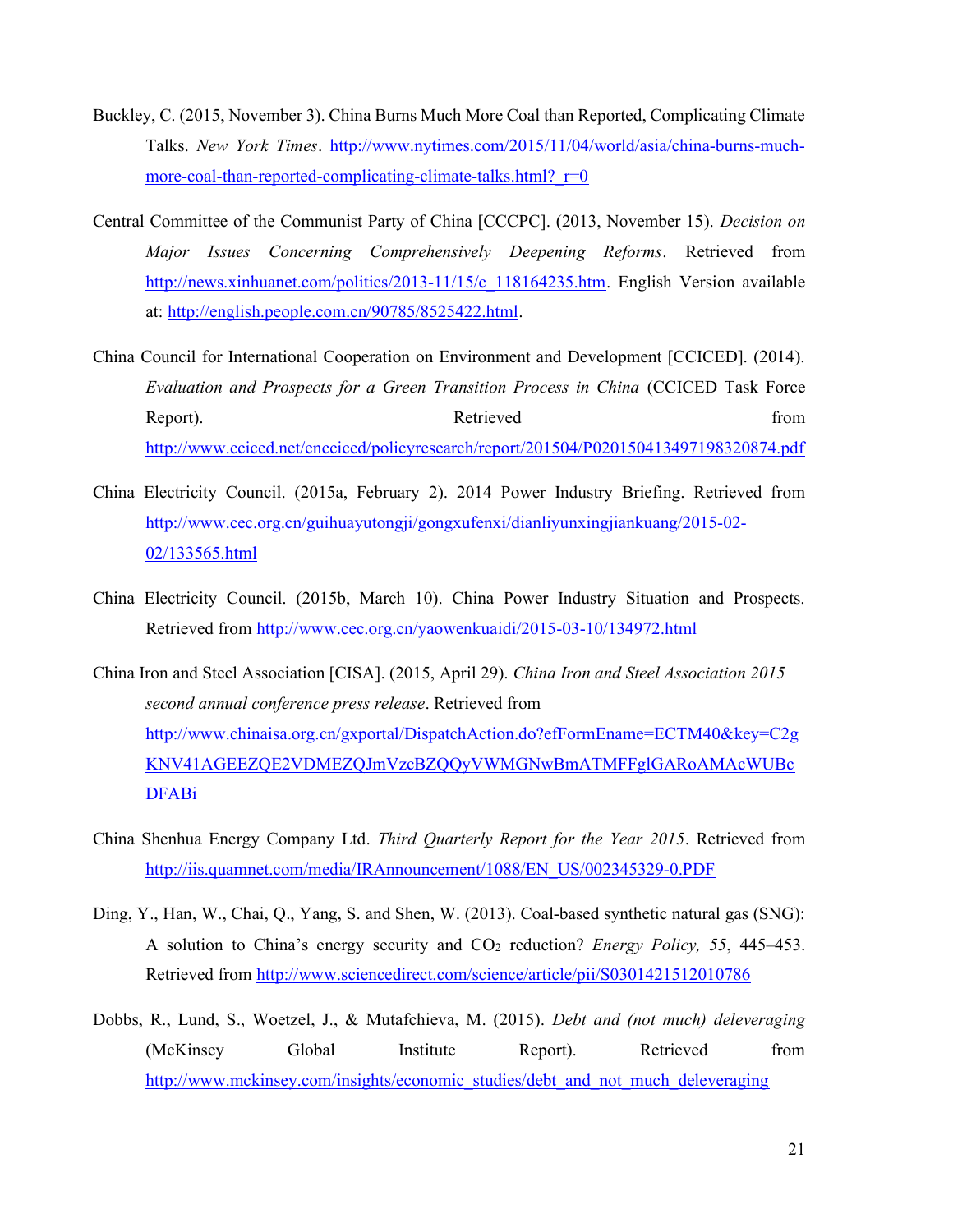- Buckley, C. (2015, November 3). China Burns Much More Coal than Reported, Complicating Climate Talks. New York Times. http://www.nytimes.com/2015/11/04/world/asia/china-burns-muchmore-coal-than-reported-complicating-climate-talks.html?  $r=0$
- Central Committee of the Communist Party of China [CCCPC]. (2013, November 15). Decision on Major Issues Concerning Comprehensively Deepening Reforms. Retrieved from http://news.xinhuanet.com/politics/2013-11/15/c\_118164235.htm. English Version available at: http://english.people.com.cn/90785/8525422.html.
- China Council for International Cooperation on Environment and Development [CCICED]. (2014). Evaluation and Prospects for a Green Transition Process in China (CCICED Task Force Report). Retrieved from http://www.cciced.net/encciced/policyresearch/report/201504/P020150413497198320874.pdf
- China Electricity Council. (2015a, February 2). 2014 Power Industry Briefing. Retrieved from http://www.cec.org.cn/guihuayutongji/gongxufenxi/dianliyunxingjiankuang/2015-02- 02/133565.html
- China Electricity Council. (2015b, March 10). China Power Industry Situation and Prospects. Retrieved from http://www.cec.org.cn/yaowenkuaidi/2015-03-10/134972.html
- China Iron and Steel Association [CISA]. (2015, April 29). China Iron and Steel Association 2015 second annual conference press release. Retrieved from http://www.chinaisa.org.cn/gxportal/DispatchAction.do?efFormEname=ECTM40&key=C2g KNV41AGEEZQE2VDMEZQJmVzcBZQQyVWMGNwBmATMFFglGARoAMAcWUBc DFABi
- China Shenhua Energy Company Ltd. Third Quarterly Report for the Year 2015. Retrieved from http://iis.quamnet.com/media/IRAnnouncement/1088/EN\_US/002345329-0.PDF
- Ding, Y., Han, W., Chai, Q., Yang, S. and Shen, W. (2013). Coal-based synthetic natural gas (SNG): A solution to China's energy security and  $CO<sub>2</sub>$  reduction? *Energy Policy*, 55, 445–453. Retrieved from http://www.sciencedirect.com/science/article/pii/S0301421512010786
- Dobbs, R., Lund, S., Woetzel, J., & Mutafchieva, M. (2015). Debt and (not much) deleveraging (McKinsey Global Institute Report). Retrieved from http://www.mckinsey.com/insights/economic\_studies/debt\_and\_not\_much\_deleveraging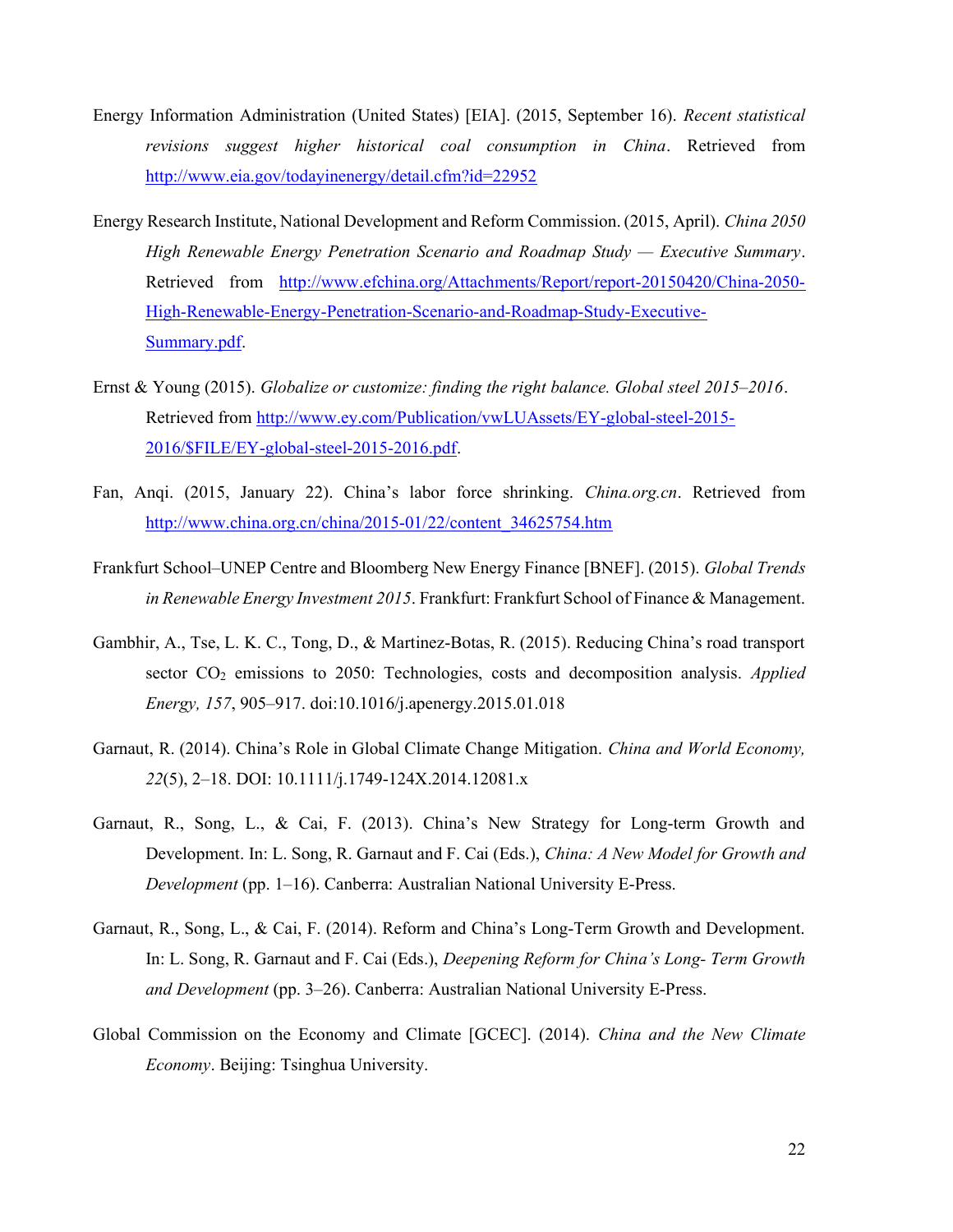- Energy Information Administration (United States) [EIA]. (2015, September 16). Recent statistical revisions suggest higher historical coal consumption in China. Retrieved from http://www.eia.gov/todayinenergy/detail.cfm?id=22952
- Energy Research Institute, National Development and Reform Commission. (2015, April). China 2050 High Renewable Energy Penetration Scenario and Roadmap Study — Executive Summary. Retrieved from http://www.efchina.org/Attachments/Report/report-20150420/China-2050- High-Renewable-Energy-Penetration-Scenario-and-Roadmap-Study-Executive-Summary.pdf.
- Ernst & Young (2015). Globalize or customize: finding the right balance. Global steel 2015–2016. Retrieved from http://www.ey.com/Publication/vwLUAssets/EY-global-steel-2015- 2016/\$FILE/EY-global-steel-2015-2016.pdf.
- Fan, Anqi. (2015, January 22). China's labor force shrinking. China.org.cn. Retrieved from http://www.china.org.cn/china/2015-01/22/content\_34625754.htm
- Frankfurt School–UNEP Centre and Bloomberg New Energy Finance [BNEF]. (2015). Global Trends in Renewable Energy Investment 2015. Frankfurt: Frankfurt School of Finance & Management.
- Gambhir, A., Tse, L. K. C., Tong, D., & Martinez-Botas, R. (2015). Reducing China's road transport sector CO<sub>2</sub> emissions to 2050: Technologies, costs and decomposition analysis. Applied Energy, 157, 905–917. doi:10.1016/j.apenergy.2015.01.018
- Garnaut, R. (2014). China's Role in Global Climate Change Mitigation. China and World Economy, 22(5), 2–18. DOI: 10.1111/j.1749-124X.2014.12081.x
- Garnaut, R., Song, L., & Cai, F. (2013). China's New Strategy for Long-term Growth and Development. In: L. Song, R. Garnaut and F. Cai (Eds.), China: A New Model for Growth and Development (pp. 1–16). Canberra: Australian National University E-Press.
- Garnaut, R., Song, L., & Cai, F. (2014). Reform and China's Long-Term Growth and Development. In: L. Song, R. Garnaut and F. Cai (Eds.), Deepening Reform for China's Long- Term Growth and Development (pp. 3–26). Canberra: Australian National University E-Press.
- Global Commission on the Economy and Climate [GCEC]. (2014). China and the New Climate Economy. Beijing: Tsinghua University.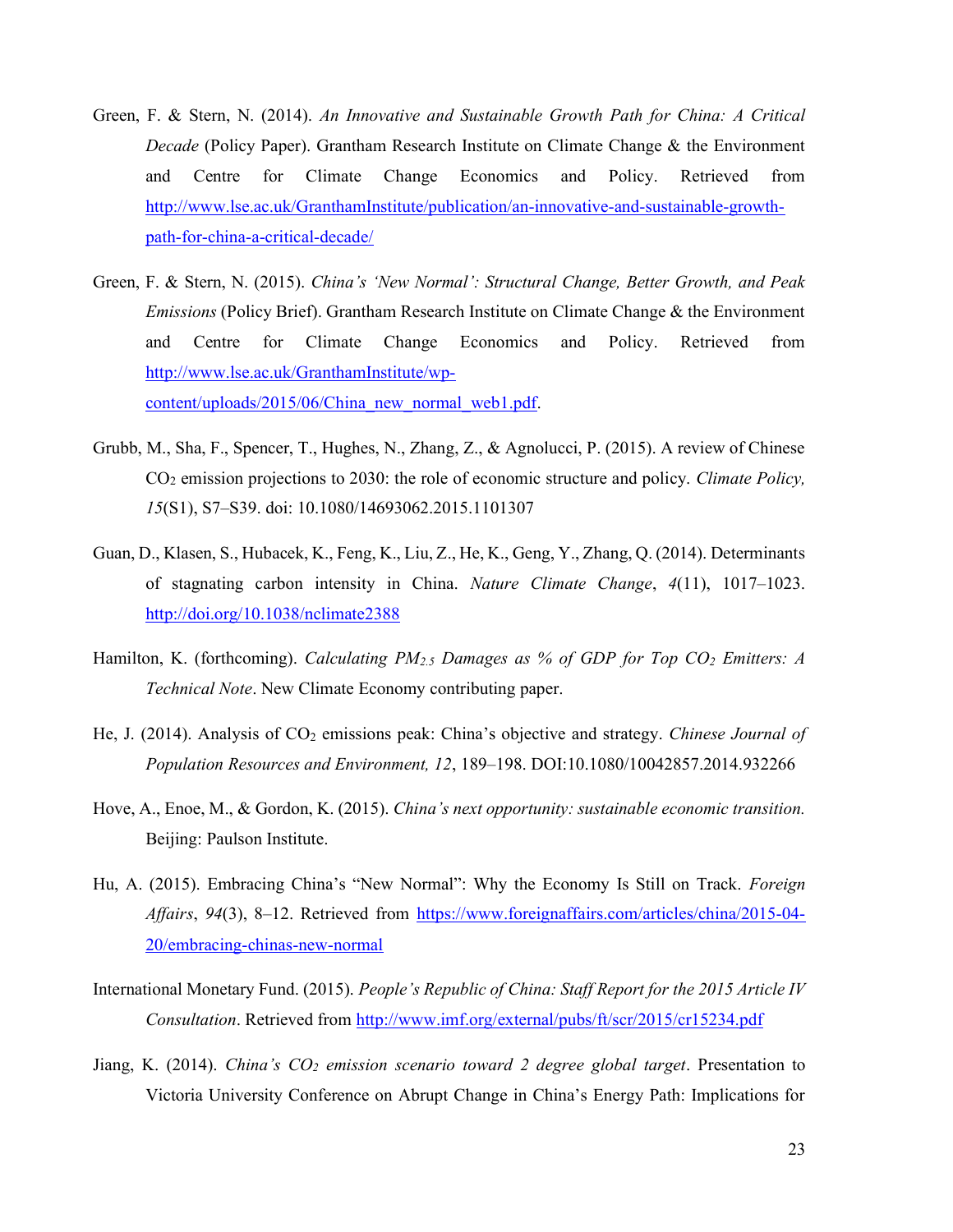- Green, F. & Stern, N. (2014). An Innovative and Sustainable Growth Path for China: A Critical Decade (Policy Paper). Grantham Research Institute on Climate Change & the Environment and Centre for Climate Change Economics and Policy. Retrieved from http://www.lse.ac.uk/GranthamInstitute/publication/an-innovative-and-sustainable-growthpath-for-china-a-critical-decade/
- Green, F. & Stern, N. (2015). China's 'New Normal': Structural Change, Better Growth, and Peak *Emissions* (Policy Brief). Grantham Research Institute on Climate Change  $\&$  the Environment and Centre for Climate Change Economics and Policy. Retrieved from http://www.lse.ac.uk/GranthamInstitute/wpcontent/uploads/2015/06/China\_new\_normal\_web1.pdf.
- Grubb, M., Sha, F., Spencer, T., Hughes, N., Zhang, Z., & Agnolucci, P. (2015). A review of Chinese CO2 emission projections to 2030: the role of economic structure and policy. Climate Policy, 15(S1), S7–S39. doi: 10.1080/14693062.2015.1101307
- Guan, D., Klasen, S., Hubacek, K., Feng, K., Liu, Z., He, K., Geng, Y., Zhang, Q. (2014). Determinants of stagnating carbon intensity in China. Nature Climate Change, 4(11), 1017–1023. http://doi.org/10.1038/nclimate2388
- Hamilton, K. (forthcoming). Calculating  $PM_{2.5}$  Damages as % of GDP for Top CO<sub>2</sub> Emitters: A Technical Note. New Climate Economy contributing paper.
- He, J. (2014). Analysis of CO<sub>2</sub> emissions peak: China's objective and strategy. Chinese Journal of Population Resources and Environment, 12, 189–198. DOI:10.1080/10042857.2014.932266
- Hove, A., Enoe, M., & Gordon, K. (2015). China's next opportunity: sustainable economic transition. Beijing: Paulson Institute.
- Hu, A. (2015). Embracing China's "New Normal": Why the Economy Is Still on Track. Foreign Affairs, 94(3), 8–12. Retrieved from https://www.foreignaffairs.com/articles/china/2015-04- 20/embracing-chinas-new-normal
- International Monetary Fund. (2015). People's Republic of China: Staff Report for the 2015 Article IV Consultation. Retrieved from http://www.imf.org/external/pubs/ft/scr/2015/cr15234.pdf
- Jiang, K. (2014). China's  $CO<sub>2</sub>$  emission scenario toward 2 degree global target. Presentation to Victoria University Conference on Abrupt Change in China's Energy Path: Implications for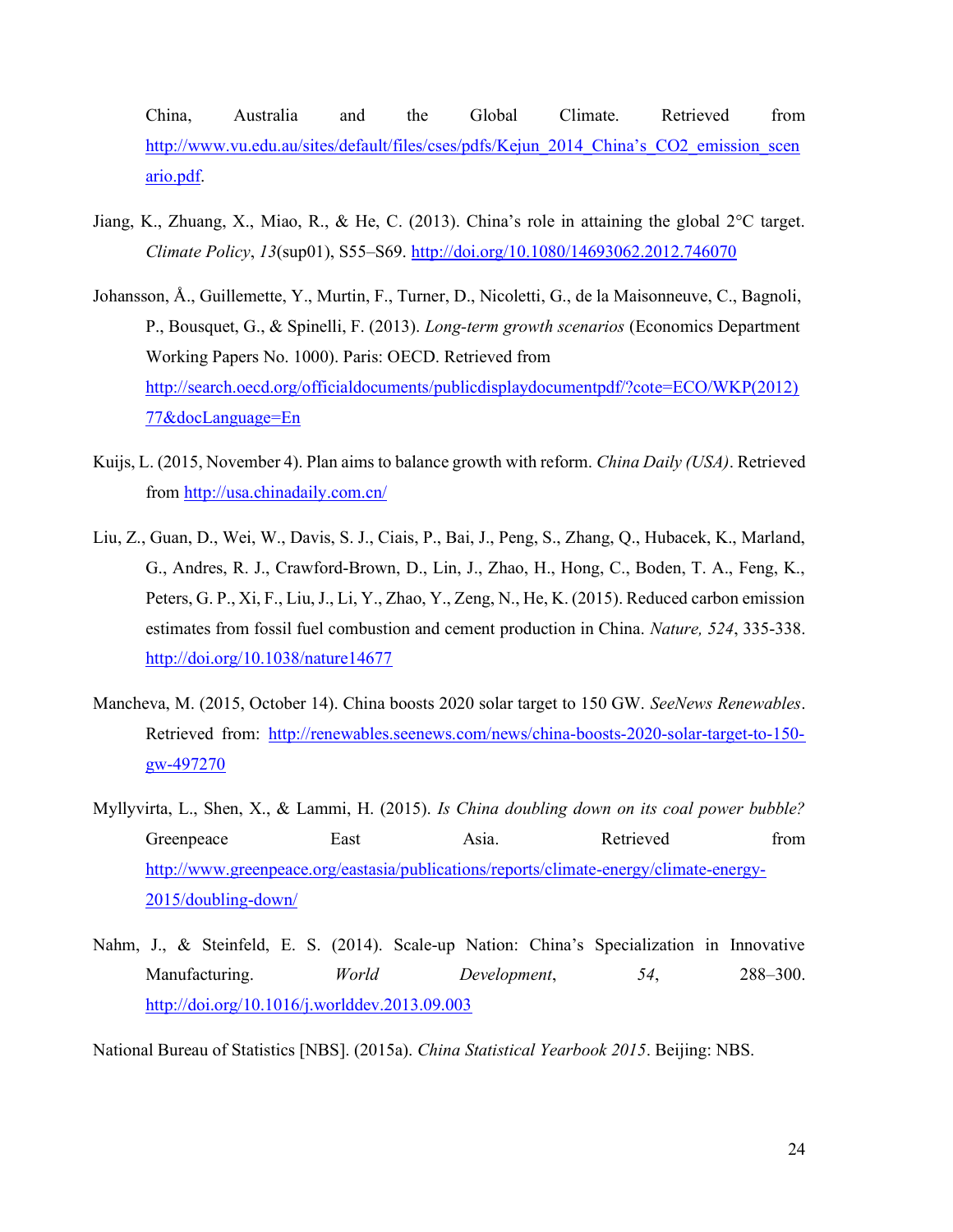China, Australia and the Global Climate. Retrieved from http://www.vu.edu.au/sites/default/files/cses/pdfs/Kejun\_2014\_China's\_CO2\_emission\_scen ario.pdf.

- Jiang, K., Zhuang, X., Miao, R., & He, C. (2013). China's role in attaining the global 2°C target. Climate Policy, 13(sup01), S55–S69. http://doi.org/10.1080/14693062.2012.746070
- Johansson, Å., Guillemette, Y., Murtin, F., Turner, D., Nicoletti, G., de la Maisonneuve, C., Bagnoli, P., Bousquet, G., & Spinelli, F. (2013). Long-term growth scenarios (Economics Department Working Papers No. 1000). Paris: OECD. Retrieved from http://search.oecd.org/officialdocuments/publicdisplaydocumentpdf/?cote=ECO/WKP(2012) 77&docLanguage=En
- Kuijs, L. (2015, November 4). Plan aims to balance growth with reform. China Daily (USA). Retrieved from http://usa.chinadaily.com.cn/
- Liu, Z., Guan, D., Wei, W., Davis, S. J., Ciais, P., Bai, J., Peng, S., Zhang, Q., Hubacek, K., Marland, G., Andres, R. J., Crawford-Brown, D., Lin, J., Zhao, H., Hong, C., Boden, T. A., Feng, K., Peters, G. P., Xi, F., Liu, J., Li, Y., Zhao, Y., Zeng, N., He, K. (2015). Reduced carbon emission estimates from fossil fuel combustion and cement production in China. Nature, 524, 335-338. http://doi.org/10.1038/nature14677
- Mancheva, M. (2015, October 14). China boosts 2020 solar target to 150 GW. SeeNews Renewables. Retrieved from: http://renewables.seenews.com/news/china-boosts-2020-solar-target-to-150 gw-497270
- Myllyvirta, L., Shen, X., & Lammi, H. (2015). Is China doubling down on its coal power bubble? Greenpeace East Asia. Retrieved from http://www.greenpeace.org/eastasia/publications/reports/climate-energy/climate-energy-2015/doubling-down/
- Nahm, J., & Steinfeld, E. S. (2014). Scale-up Nation: China's Specialization in Innovative Manufacturing. *World Development*, 54, 288–300. http://doi.org/10.1016/j.worlddev.2013.09.003

National Bureau of Statistics [NBS]. (2015a). China Statistical Yearbook 2015. Beijing: NBS.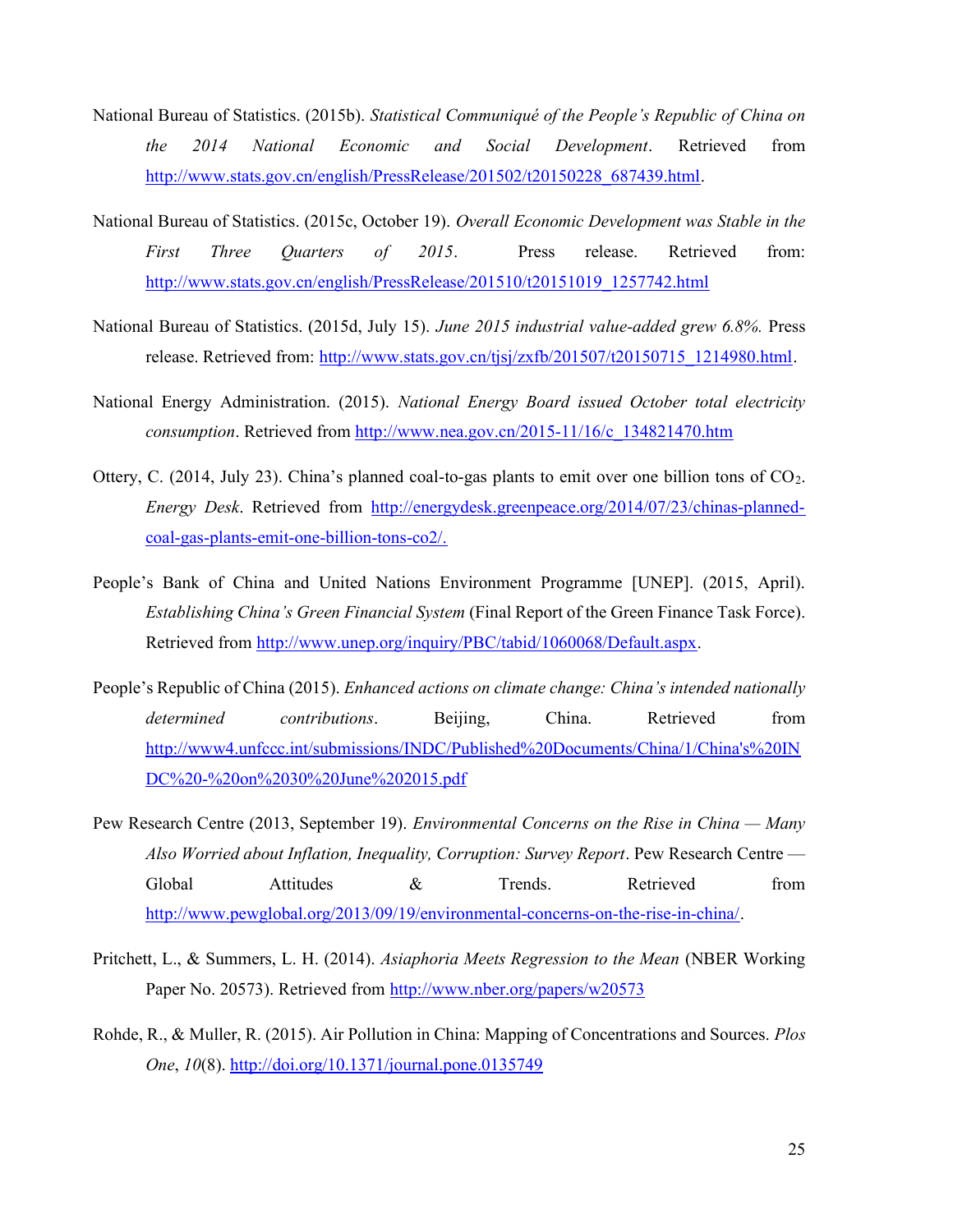- National Bureau of Statistics. (2015b). Statistical Communiqué of the People's Republic of China on the 2014 National Economic and Social Development. Retrieved from http://www.stats.gov.cn/english/PressRelease/201502/t20150228\_687439.html.
- National Bureau of Statistics. (2015c, October 19). Overall Economic Development was Stable in the First Three Quarters of 2015. Press release. Retrieved from: http://www.stats.gov.cn/english/PressRelease/201510/t20151019\_1257742.html
- National Bureau of Statistics. (2015d, July 15). June 2015 industrial value-added grew 6.8%. Press release. Retrieved from: http://www.stats.gov.cn/tjsj/zxfb/201507/t20150715 1214980.html.
- National Energy Administration. (2015). National Energy Board issued October total electricity consumption. Retrieved from http://www.nea.gov.cn/2015-11/16/c\_134821470.htm
- Ottery, C. (2014, July 23). China's planned coal-to-gas plants to emit over one billion tons of CO2. Energy Desk. Retrieved from http://energydesk.greenpeace.org/2014/07/23/chinas-plannedcoal-gas-plants-emit-one-billion-tons-co2/.
- People's Bank of China and United Nations Environment Programme [UNEP]. (2015, April). Establishing China's Green Financial System (Final Report of the Green Finance Task Force). Retrieved from http://www.unep.org/inquiry/PBC/tabid/1060068/Default.aspx.
- People's Republic of China (2015). *Enhanced actions on climate change: China's intended nationally* determined contributions. Beijing, China. Retrieved from http://www4.unfccc.int/submissions/INDC/Published%20Documents/China/1/China's%20IN DC%20-%20on%2030%20June%202015.pdf
- Pew Research Centre (2013, September 19). *Environmental Concerns on the Rise in China Many* Also Worried about Inflation, Inequality, Corruption: Survey Report. Pew Research Centre — Global Attitudes & Trends. Retrieved from http://www.pewglobal.org/2013/09/19/environmental-concerns-on-the-rise-in-china/.
- Pritchett, L., & Summers, L. H. (2014). Asiaphoria Meets Regression to the Mean (NBER Working Paper No. 20573). Retrieved from http://www.nber.org/papers/w20573
- Rohde, R., & Muller, R. (2015). Air Pollution in China: Mapping of Concentrations and Sources. Plos One, 10(8). http://doi.org/10.1371/journal.pone.0135749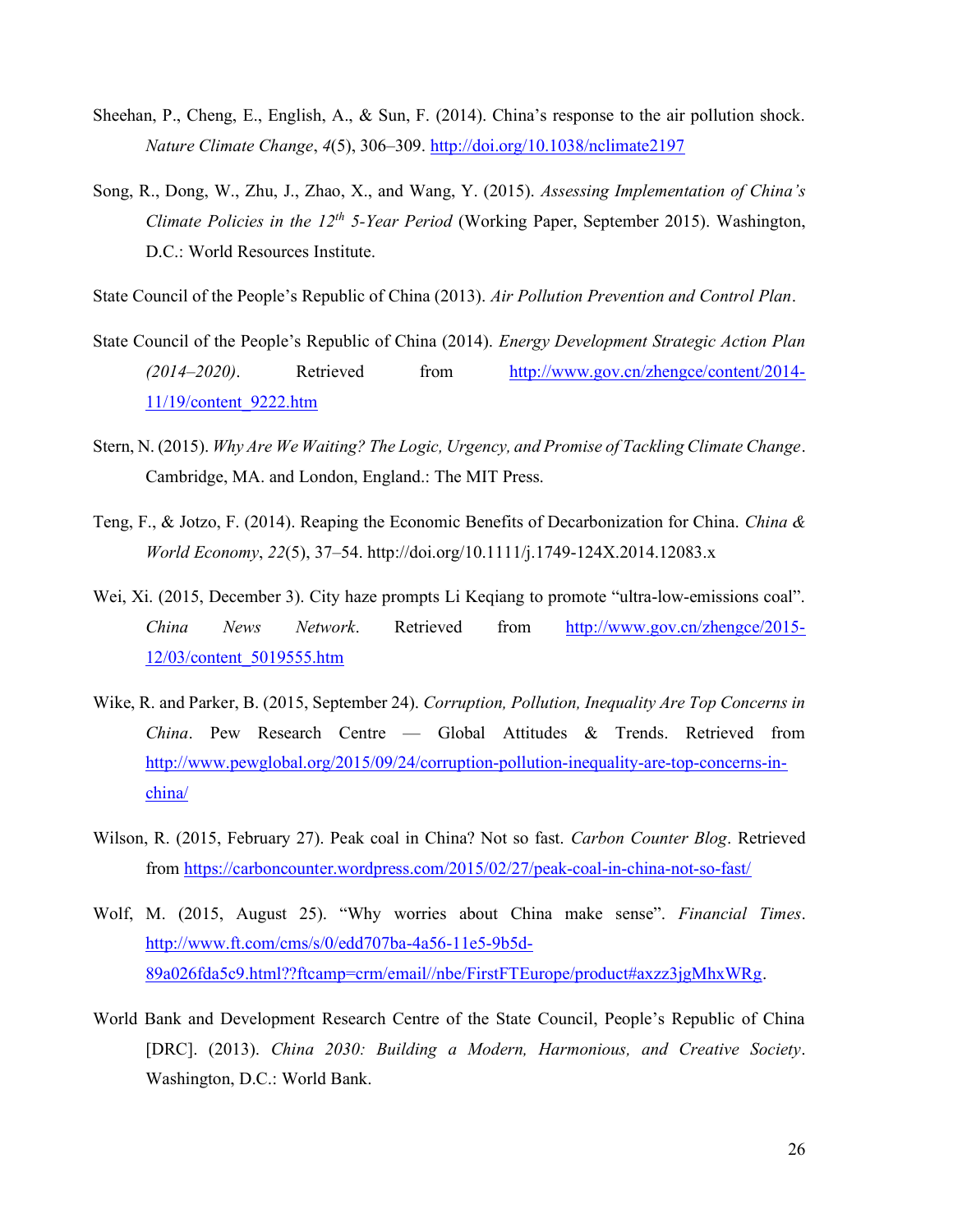- Sheehan, P., Cheng, E., English, A., & Sun, F. (2014). China's response to the air pollution shock. Nature Climate Change, 4(5), 306-309. http://doi.org/10.1038/nclimate2197
- Song, R., Dong, W., Zhu, J., Zhao, X., and Wang, Y. (2015). Assessing Implementation of China's Climate Policies in the  $12^{th}$  5-Year Period (Working Paper, September 2015). Washington, D.C.: World Resources Institute.

State Council of the People's Republic of China (2013). Air Pollution Prevention and Control Plan.

- State Council of the People's Republic of China (2014). Energy Development Strategic Action Plan (2014–2020). Retrieved from http://www.gov.cn/zhengce/content/2014- 11/19/content\_9222.htm
- Stern, N. (2015). Why Are We Waiting? The Logic, Urgency, and Promise of Tackling Climate Change. Cambridge, MA. and London, England.: The MIT Press.
- Teng, F., & Jotzo, F. (2014). Reaping the Economic Benefits of Decarbonization for China. China & World Economy, 22(5), 37–54. http://doi.org/10.1111/j.1749-124X.2014.12083.x
- Wei, Xi. (2015, December 3). City haze prompts Li Keqiang to promote "ultra-low-emissions coal". China News Network. Retrieved from http://www.gov.cn/zhengce/2015- 12/03/content\_5019555.htm
- Wike, R. and Parker, B. (2015, September 24). Corruption, Pollution, Inequality Are Top Concerns in China. Pew Research Centre — Global Attitudes & Trends. Retrieved from http://www.pewglobal.org/2015/09/24/corruption-pollution-inequality-are-top-concerns-inchina/
- Wilson, R. (2015, February 27). Peak coal in China? Not so fast. Carbon Counter Blog. Retrieved from https://carboncounter.wordpress.com/2015/02/27/peak-coal-in-china-not-so-fast/
- Wolf, M. (2015, August 25). "Why worries about China make sense". Financial Times. http://www.ft.com/cms/s/0/edd707ba-4a56-11e5-9b5d-89a026fda5c9.html??ftcamp=crm/email//nbe/FirstFTEurope/product#axzz3jgMhxWRg.
- World Bank and Development Research Centre of the State Council, People's Republic of China [DRC]. (2013). China 2030: Building a Modern, Harmonious, and Creative Society. Washington, D.C.: World Bank.